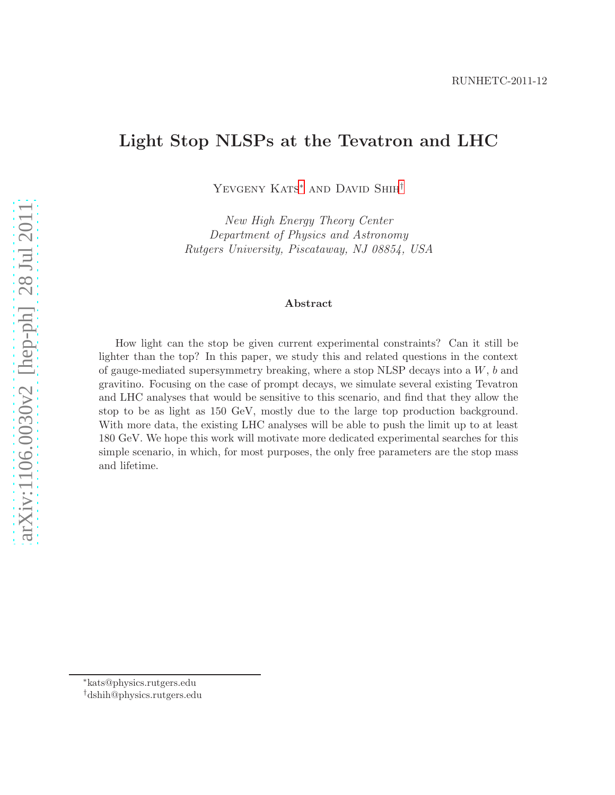## Light Stop NLSPs at the Tevatron and LHC

Yevgeny Kats[∗](#page-0-0) and David Shih[†](#page-0-1)

New High Energy Theory Center Department of Physics and Astronomy Rutgers University, Piscataway, NJ 08854, USA

#### Abstract

How light can the stop be given current experimental constraints? Can it still be lighter than the top? In this paper, we study this and related questions in the context of gauge-mediated supersymmetry breaking, where a stop NLSP decays into a  $W$ ,  $b$  and gravitino. Focusing on the case of prompt decays, we simulate several existing Tevatron and LHC analyses that would be sensitive to this scenario, and find that they allow the stop to be as light as 150 GeV, mostly due to the large top production background. With more data, the existing LHC analyses will be able to push the limit up to at least 180 GeV. We hope this work will motivate more dedicated experimental searches for this simple scenario, in which, for most purposes, the only free parameters are the stop mass and lifetime.

<sup>∗</sup>kats@physics.rutgers.edu

<span id="page-0-1"></span><span id="page-0-0"></span><sup>†</sup>dshih@physics.rutgers.edu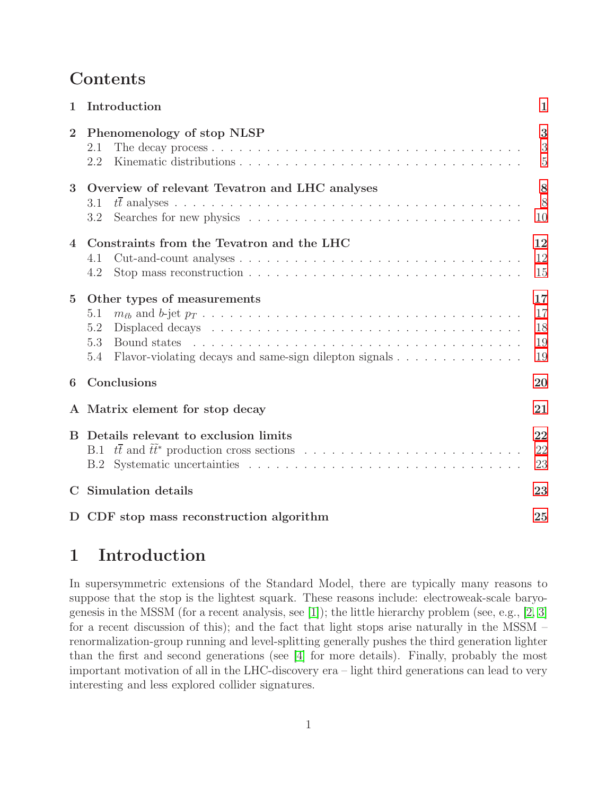## Contents

| 1              | Introduction                                                                                                                      | 1                          |  |  |  |  |
|----------------|-----------------------------------------------------------------------------------------------------------------------------------|----------------------------|--|--|--|--|
| $\overline{2}$ | Phenomenology of stop NLSP<br>2.1<br>2.2                                                                                          | 3<br>3<br>$\overline{5}$   |  |  |  |  |
| 3              | Overview of relevant Tevatron and LHC analyses<br>3.1<br>3.2                                                                      | 8<br>8<br>10               |  |  |  |  |
| $\overline{4}$ | Constraints from the Tevatron and the LHC<br>4.1<br>4.2                                                                           | 12<br>12<br>15             |  |  |  |  |
| $\overline{5}$ | Other types of measurements<br>5.1<br>5.2<br>5.3<br>Bound states<br>5.4<br>Flavor-violating decays and same-sign dilepton signals | 17<br>17<br>18<br>19<br>19 |  |  |  |  |
| 6              | Conclusions                                                                                                                       | 20                         |  |  |  |  |
|                | A Matrix element for stop decay                                                                                                   | 21                         |  |  |  |  |
| <sub>R</sub>   | Details relevant to exclusion limits<br>B.1<br>B.2                                                                                | 22<br>22<br>23             |  |  |  |  |
| $\mathbf C$    | Simulation details                                                                                                                |                            |  |  |  |  |
|                | D CDF stop mass reconstruction algorithm                                                                                          | 25                         |  |  |  |  |

# <span id="page-1-0"></span>1 Introduction

In supersymmetric extensions of the Standard Model, there are typically many reasons to suppose that the stop is the lightest squark. These reasons include: electroweak-scale baryogenesis in the MSSM (for a recent analysis, see [\[1\]](#page-25-1)); the little hierarchy problem (see, e.g., [\[2,](#page-25-2) [3\]](#page-26-0) for a recent discussion of this); and the fact that light stops arise naturally in the MSSM – renormalization-group running and level-splitting generally pushes the third generation lighter than the first and second generations (see [\[4\]](#page-26-1) for more details). Finally, probably the most important motivation of all in the LHC-discovery era – light third generations can lead to very interesting and less explored collider signatures.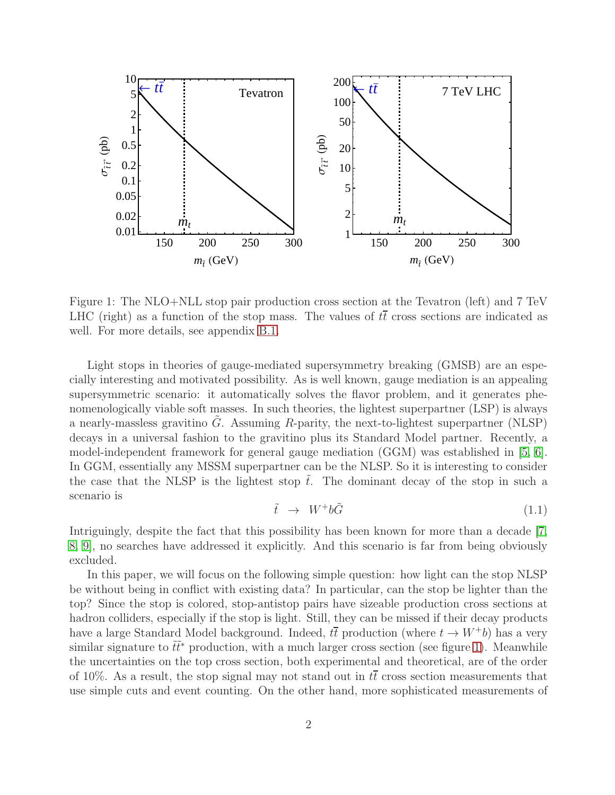

<span id="page-2-0"></span>Figure 1: The NLO+NLL stop pair production cross section at the Tevatron (left) and 7 TeV LHC (right) as a function of the stop mass. The values of  $t\bar{t}$  cross sections are indicated as well. For more details, see appendix [B.1.](#page-22-1)

Light stops in theories of gauge-mediated supersymmetry breaking (GMSB) are an especially interesting and motivated possibility. As is well known, gauge mediation is an appealing supersymmetric scenario: it automatically solves the flavor problem, and it generates phenomenologically viable soft masses. In such theories, the lightest superpartner (LSP) is always a nearly-massless gravitino  $G$ . Assuming  $R$ -parity, the next-to-lightest superpartner (NLSP) decays in a universal fashion to the gravitino plus its Standard Model partner. Recently, a model-independent framework for general gauge mediation (GGM) was established in [\[5,](#page-26-2) [6\]](#page-26-3). In GGM, essentially any MSSM superpartner can be the NLSP. So it is interesting to consider the case that the NLSP is the lightest stop  $\tilde{t}$ . The dominant decay of the stop in such a scenario is

<span id="page-2-1"></span>
$$
\tilde{t} \rightarrow W^{+}b\tilde{G} \tag{1.1}
$$

Intriguingly, despite the fact that this possibility has been known for more than a decade [\[7,](#page-26-4) [8,](#page-26-5) [9\]](#page-26-6), no searches have addressed it explicitly. And this scenario is far from being obviously excluded.

In this paper, we will focus on the following simple question: how light can the stop NLSP be without being in conflict with existing data? In particular, can the stop be lighter than the top? Since the stop is colored, stop-antistop pairs have sizeable production cross sections at hadron colliders, especially if the stop is light. Still, they can be missed if their decay products have a large Standard Model background. Indeed,  $t\bar{t}$  production (where  $t \to W^{\dagger}b$ ) has a very similar signature to  $t\bar{t}^*$  production, with a much larger cross section (see figure [1\)](#page-2-0). Meanwhile the uncertainties on the top cross section, both experimental and theoretical, are of the order of 10%. As a result, the stop signal may not stand out in  $t\bar{t}$  cross section measurements that use simple cuts and event counting. On the other hand, more sophisticated measurements of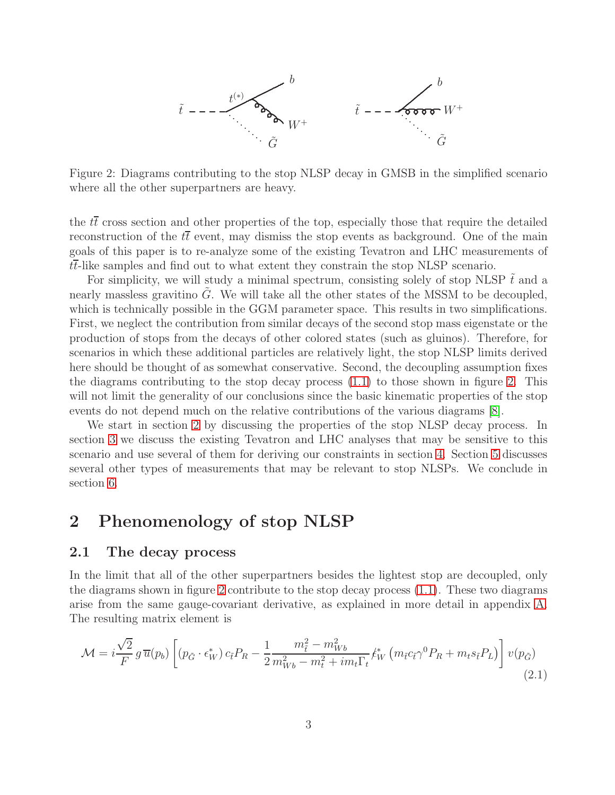

<span id="page-3-2"></span>Figure 2: Diagrams contributing to the stop NLSP decay in GMSB in the simplified scenario where all the other superpartners are heavy.

the  $t\bar{t}$  cross section and other properties of the top, especially those that require the detailed reconstruction of the  $t\bar{t}$  event, may dismiss the stop events as background. One of the main goals of this paper is to re-analyze some of the existing Tevatron and LHC measurements of  $t\bar{t}$ -like samples and find out to what extent they constrain the stop NLSP scenario.

For simplicity, we will study a minimal spectrum, consisting solely of stop NLSP  $t$  and a nearly massless gravitino  $G$ . We will take all the other states of the MSSM to be decoupled, which is technically possible in the GGM parameter space. This results in two simplifications. First, we neglect the contribution from similar decays of the second stop mass eigenstate or the production of stops from the decays of other colored states (such as gluinos). Therefore, for scenarios in which these additional particles are relatively light, the stop NLSP limits derived here should be thought of as somewhat conservative. Second, the decoupling assumption fixes the diagrams contributing to the stop decay process [\(1.1\)](#page-2-1) to those shown in figure [2.](#page-3-2) This will not limit the generality of our conclusions since the basic kinematic properties of the stop events do not depend much on the relative contributions of the various diagrams [\[8\]](#page-26-5).

We start in section [2](#page-3-0) by discussing the properties of the stop NLSP decay process. In section [3](#page-8-0) we discuss the existing Tevatron and LHC analyses that may be sensitive to this scenario and use several of them for deriving our constraints in section [4.](#page-12-0) Section [5](#page-17-0) discusses several other types of measurements that may be relevant to stop NLSPs. We conclude in section [6.](#page-20-0)

### <span id="page-3-1"></span><span id="page-3-0"></span>2 Phenomenology of stop NLSP

### 2.1 The decay process

In the limit that all of the other superpartners besides the lightest stop are decoupled, only the diagrams shown in figure [2](#page-3-2) contribute to the stop decay process [\(1.1\)](#page-2-1). These two diagrams arise from the same gauge-covariant derivative, as explained in more detail in appendix [A.](#page-21-0) The resulting matrix element is

<span id="page-3-3"></span>
$$
\mathcal{M} = i\frac{\sqrt{2}}{F} g \overline{u}(p_b) \left[ (p_{\tilde{G}} \cdot \epsilon_W^*) c_{\tilde{t}} P_R - \frac{1}{2} \frac{m_{\tilde{t}}^2 - m_{Wb}^2}{m_{Wb}^2 - m_t^2 + im_t \Gamma_t} \ell_W^* \left( m_{\tilde{t}} c_{\tilde{t}} \gamma^0 P_R + m_t s_{\tilde{t}} P_L \right) \right] v(p_{\tilde{G}})
$$
\n(2.1)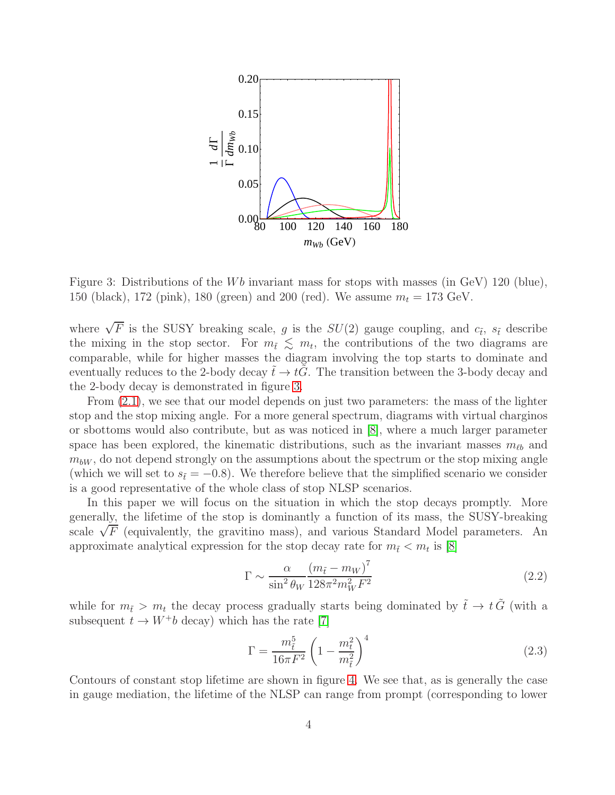

<span id="page-4-0"></span>Figure 3: Distributions of the Wb invariant mass for stops with masses (in GeV) 120 (blue), 150 (black), 172 (pink), 180 (green) and 200 (red). We assume  $m_t = 173 \text{ GeV}$ .

where  $\sqrt{F}$  is the SUSY breaking scale, g is the  $SU(2)$  gauge coupling, and  $c_{\tilde{t}}$ ,  $s_{\tilde{t}}$  describe the mixing in the stop sector. For  $m_{\tilde{t}} \leq m_t$ , the contributions of the two diagrams are comparable, while for higher masses the diagram involving the top starts to dominate and eventually reduces to the 2-body decay  $t \to tG$ . The transition between the 3-body decay and the 2-body decay is demonstrated in figure [3.](#page-4-0)

From [\(2.1\)](#page-3-3), we see that our model depends on just two parameters: the mass of the lighter stop and the stop mixing angle. For a more general spectrum, diagrams with virtual charginos or sbottoms would also contribute, but as was noticed in [\[8\]](#page-26-5), where a much larger parameter space has been explored, the kinematic distributions, such as the invariant masses  $m_{\ell b}$  and  $m_{bW}$ , do not depend strongly on the assumptions about the spectrum or the stop mixing angle (which we will set to  $s_{\tilde{t}} = -0.8$ ). We therefore believe that the simplified scenario we consider is a good representative of the whole class of stop NLSP scenarios.

In this paper we will focus on the situation in which the stop decays promptly. More generally, the lifetime of the stop is dominantly a function of its mass, the SUSY-breaking scale  $\sqrt{F}$  (equivalently, the gravitino mass), and various Standard Model parameters. An approximate analytical expression for the stop decay rate for  $m_{\tilde{t}} < m_t$  is [\[8\]](#page-26-5)

$$
\Gamma \sim \frac{\alpha}{\sin^2 \theta_W} \frac{\left(m_{\tilde{t}} - m_W\right)^7}{128\pi^2 m_W^2 F^2} \tag{2.2}
$$

while for  $m_{\tilde{t}} > m_t$  the decay process gradually starts being dominated by  $\tilde{t} \to t \tilde{G}$  (with a subsequent  $t \to W^+b$  decay) which has the rate [\[7\]](#page-26-4)

$$
\Gamma = \frac{m_{\tilde{t}}^5}{16\pi F^2} \left(1 - \frac{m_t^2}{m_{\tilde{t}}^2}\right)^4
$$
\n(2.3)

Contours of constant stop lifetime are shown in figure [4.](#page-5-1) We see that, as is generally the case in gauge mediation, the lifetime of the NLSP can range from prompt (corresponding to lower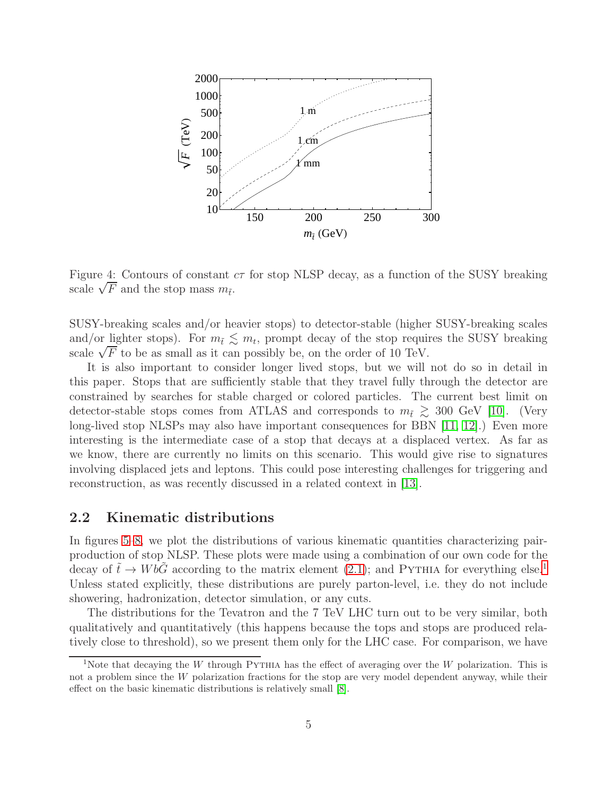

<span id="page-5-1"></span>Figure 4: Contours of constant  $c\tau$  for stop NLSP decay, as a function of the SUSY breaking scale  $\sqrt{F}$  and the stop mass  $m_{\tilde{t}}$ .

SUSY-breaking scales and/or heavier stops) to detector-stable (higher SUSY-breaking scales and/or <u>lig</u>hter stops). For  $m_{\tilde{t}} \lesssim m_t$ , prompt decay of the stop requires the SUSY breaking scale  $\sqrt{F}$  to be as small as it can possibly be, on the order of 10 TeV.

It is also important to consider longer lived stops, but we will not do so in detail in this paper. Stops that are sufficiently stable that they travel fully through the detector are constrained by searches for stable charged or colored particles. The current best limit on detector-stable stops comes from ATLAS and corresponds to  $m_{\tilde{t}} \geq 300$  GeV [\[10\]](#page-26-7). (Very long-lived stop NLSPs may also have important consequences for BBN [\[11,](#page-26-8) [12\]](#page-26-9).) Even more interesting is the intermediate case of a stop that decays at a displaced vertex. As far as we know, there are currently no limits on this scenario. This would give rise to signatures involving displaced jets and leptons. This could pose interesting challenges for triggering and reconstruction, as was recently discussed in a related context in [\[13\]](#page-26-10).

#### <span id="page-5-0"></span>2.2 Kinematic distributions

In figures [5](#page-6-0)[–8,](#page-7-0) we plot the distributions of various kinematic quantities characterizing pairproduction of stop NLSP. These plots were made using a combination of our own code for the decay of  $t \to WbG$  according to the matrix element [\(2.1\)](#page-3-3); and PYTHIA for everything else.<sup>[1](#page-5-2)</sup> Unless stated explicitly, these distributions are purely parton-level, i.e. they do not include showering, hadronization, detector simulation, or any cuts.

The distributions for the Tevatron and the 7 TeV LHC turn out to be very similar, both qualitatively and quantitatively (this happens because the tops and stops are produced relatively close to threshold), so we present them only for the LHC case. For comparison, we have

<span id="page-5-2"></span><sup>&</sup>lt;sup>1</sup>Note that decaying the W through PYTHIA has the effect of averaging over the W polarization. This is not a problem since the W polarization fractions for the stop are very model dependent anyway, while their effect on the basic kinematic distributions is relatively small [\[8\]](#page-26-5).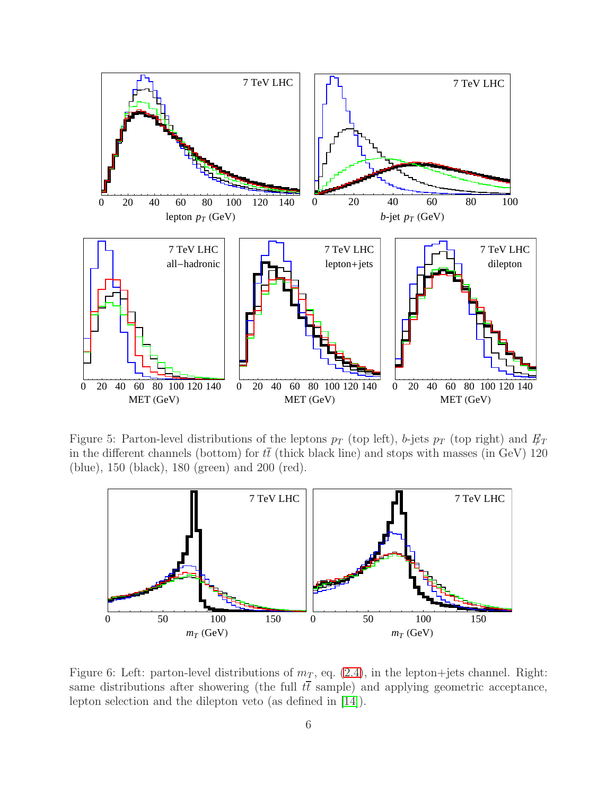

Figure 5: Parton-level distributions of the leptons  $p_T$  (top left), b-jets  $p_T$  (top right) and  $E_T$ in the different channels (bottom) for  $t\bar{t}$  (thick black line) and stops with masses (in GeV) 120 (blue), 150 (black), 180 (green) and 200 (red).

<span id="page-6-0"></span>

<span id="page-6-1"></span>Figure 6: Left: parton-level distributions of  $m<sub>T</sub>$ , eq. [\(2.4\)](#page-7-1), in the lepton+jets channel. Right: same distributions after showering (the full  $t\bar{t}$  sample) and applying geometric acceptance, lepton selection and the dilepton veto (as defined in [\[14\]](#page-26-11)).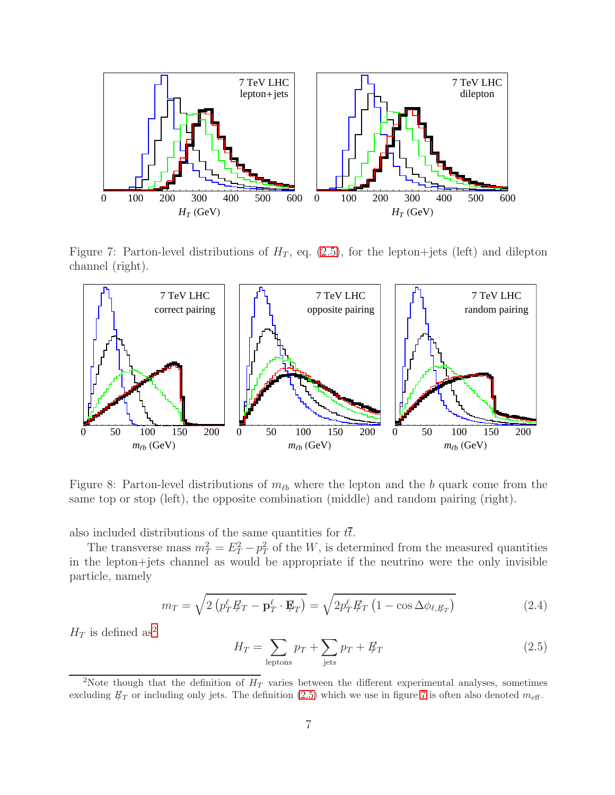

Figure 7: Parton-level distributions of  $H_T$ , eq. [\(2.5\)](#page-7-2), for the lepton+jets (left) and dilepton channel (right).

<span id="page-7-4"></span>

<span id="page-7-0"></span>Figure 8: Parton-level distributions of  $m_{\ell b}$  where the lepton and the b quark come from the same top or stop (left), the opposite combination (middle) and random pairing (right).

also included distributions of the same quantities for  $t\bar{t}$ .

The transverse mass  $m_T^2 = E_T^2 - p_T^2$  of the W, is determined from the measured quantities in the lepton+jets channel as would be appropriate if the neutrino were the only invisible particle, namely

<span id="page-7-1"></span>
$$
m_T = \sqrt{2\left(p_T^{\ell} \not\!\! E_T - \mathbf{p}_T^{\ell} \cdot \mathbf{E}_T\right)} = \sqrt{2p_T^{\ell} \not\!\! E_T \left(1 - \cos \Delta \phi_{\ell, \not\!\! E_T}\right)} \tag{2.4}
$$

 $H_T$  is defined  ${\rm as^2}$  ${\rm as^2}$  ${\rm as^2}$ 

<span id="page-7-2"></span>
$$
H_T = \sum_{\text{leptons}} p_T + \sum_{\text{jets}} p_T + \not{E}_T \tag{2.5}
$$

<span id="page-7-3"></span><sup>&</sup>lt;sup>2</sup>Note though that the definition of  $H_T$  varies between the different experimental analyses, sometimes excluding  $E_T$  or including only jets. The definition [\(2.5\)](#page-7-2) which we use in figure [7](#page-7-4) is often also denoted  $m_{\text{eff}}$ .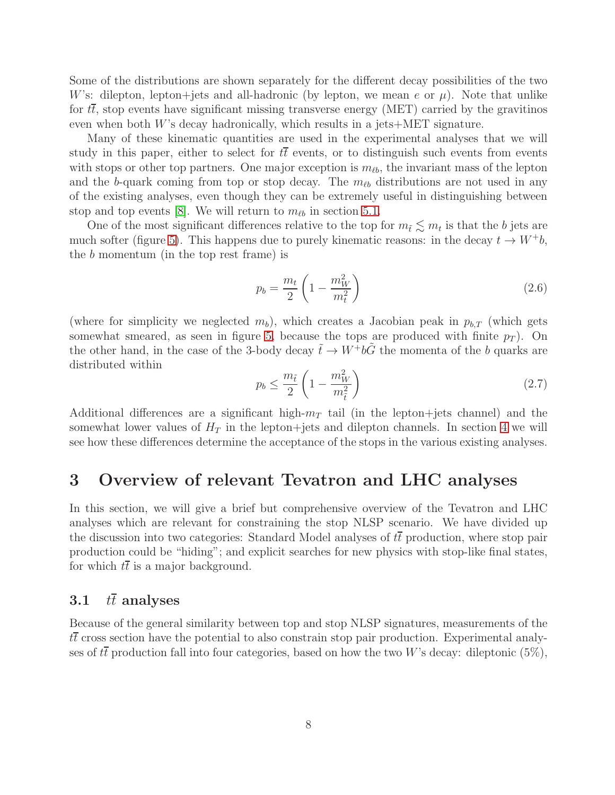Some of the distributions are shown separately for the different decay possibilities of the two W's: dilepton, lepton+jets and all-hadronic (by lepton, we mean e or  $\mu$ ). Note that unlike for  $t\bar{t}$ , stop events have significant missing transverse energy (MET) carried by the gravitinos even when both  $W$ 's decay hadronically, which results in a jets $+$ MET signature.

Many of these kinematic quantities are used in the experimental analyses that we will study in this paper, either to select for  $t\bar{t}$  events, or to distinguish such events from events with stops or other top partners. One major exception is  $m_{\ell b}$ , the invariant mass of the lepton and the b-quark coming from top or stop decay. The  $m_{\ell b}$  distributions are not used in any of the existing analyses, even though they can be extremely useful in distinguishing between stop and top events [\[8\]](#page-26-5). We will return to  $m_{\ell b}$  in section [5.1.](#page-17-1)

One of the most significant differences relative to the top for  $m_{\tilde{t}} \lesssim m_t$  is that the b jets are much softer (figure [5\)](#page-6-0). This happens due to purely kinematic reasons: in the decay  $t \to W^+b$ , the b momentum (in the top rest frame) is

$$
p_b = \frac{m_t}{2} \left( 1 - \frac{m_W^2}{m_t^2} \right) \tag{2.6}
$$

(where for simplicity we neglected  $m_b$ ), which creates a Jacobian peak in  $p_{b,T}$  (which gets somewhat smeared, as seen in figure [5,](#page-6-0) because the tops are produced with finite  $p_T$ ). On the other hand, in the case of the 3-body decay  $\tilde{t} \to W^+b\tilde{G}$  the momenta of the b quarks are distributed within

$$
p_b \le \frac{m_{\tilde{t}}}{2} \left( 1 - \frac{m_W^2}{m_{\tilde{t}}^2} \right) \tag{2.7}
$$

Additional differences are a significant high- $m<sub>T</sub>$  tail (in the lepton+jets channel) and the somewhat lower values of  $H_T$  in the lepton+jets and dilepton channels. In section [4](#page-12-0) we will see how these differences determine the acceptance of the stops in the various existing analyses.

### <span id="page-8-0"></span>3 Overview of relevant Tevatron and LHC analyses

In this section, we will give a brief but comprehensive overview of the Tevatron and LHC analyses which are relevant for constraining the stop NLSP scenario. We have divided up the discussion into two categories: Standard Model analyses of  $t\bar{t}$  production, where stop pair production could be "hiding"; and explicit searches for new physics with stop-like final states, for which  $t\bar{t}$  is a major background.

### <span id="page-8-1"></span>3.1  $t\bar{t}$  analyses

Because of the general similarity between top and stop NLSP signatures, measurements of the  $t\bar{t}$  cross section have the potential to also constrain stop pair production. Experimental analyses of  $t\bar{t}$  production fall into four categories, based on how the two W's decay: dileptonic (5%),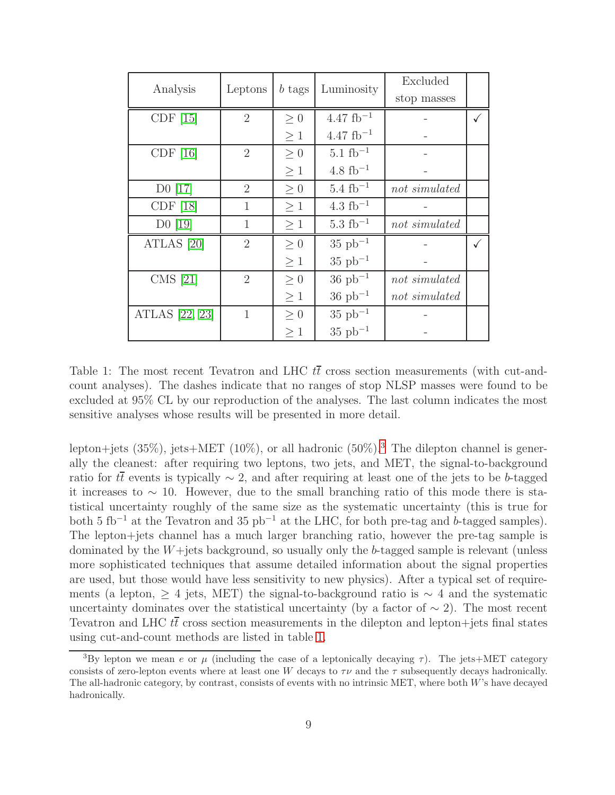| Analysis            | Leptons        | b tags   | Luminosity            | Excluded      |  |
|---------------------|----------------|----------|-----------------------|---------------|--|
|                     |                |          |                       | stop masses   |  |
| CDF <sub>[15]</sub> | $\overline{2}$ | $\geq 0$ | $4.47~{\rm fb^{-1}}$  |               |  |
|                     |                | $\geq 1$ | $4.47~{\rm fb}^{-1}$  |               |  |
| CDF[16]             | $\overline{2}$ | $>0\,$   | $5.1~{\rm fb}^{-1}$   |               |  |
|                     |                | $\geq 1$ | $4.8~{\rm fb}^{-1}$   |               |  |
| $D0$ [17]           | $\overline{2}$ | $\geq 0$ | $5.4~{\rm fb^{-1}}$   | not simulated |  |
| CDF <sub>[18]</sub> | $\mathbf{1}$   | $\geq 1$ | $4.3~{\rm fb}^{-1}$   |               |  |
| $D0$ [19]           | $\mathbf{1}$   | $\geq 1$ | $5.3~{\rm fb}^{-1}$   | not simulated |  |
| ATLAS $[20]$        | $\overline{2}$ | $\geq 0$ | $35 pb^{-1}$          |               |  |
|                     |                | $\geq 1$ | $35$ pb <sup>-1</sup> |               |  |
| CMS [21]            | $\overline{2}$ | $\geq 0$ | $36$ pb <sup>-1</sup> | not simulated |  |
|                     |                | $\geq 1$ | $36$ pb <sup>-1</sup> | not simulated |  |
| ATLAS [22, 23]      | 1              | $\geq 0$ | $35 pb^{-1}$          |               |  |
|                     |                | $\geq 1$ | $35$ pb <sup>-1</sup> |               |  |

<span id="page-9-1"></span>Table 1: The most recent Tevatron and LHC  $t\bar{t}$  cross section measurements (with cut-andcount analyses). The dashes indicate that no ranges of stop NLSP masses were found to be excluded at 95% CL by our reproduction of the analyses. The last column indicates the most sensitive analyses whose results will be presented in more detail.

lepton+jets ([3](#page-9-0)5%), jets+MET (10%), or all hadronic (50%).<sup>3</sup> The dilepton channel is generally the cleanest: after requiring two leptons, two jets, and MET, the signal-to-background ratio for  $t\bar{t}$  events is typically  $\sim 2$ , and after requiring at least one of the jets to be b-tagged it increases to ∼ 10. However, due to the small branching ratio of this mode there is statistical uncertainty roughly of the same size as the systematic uncertainty (this is true for both 5 fb<sup>-1</sup> at the Tevatron and 35 pb<sup>-1</sup> at the LHC, for both pre-tag and b-tagged samples). The lepton+jets channel has a much larger branching ratio, however the pre-tag sample is dominated by the  $W+$ jets background, so usually only the b-tagged sample is relevant (unless more sophisticated techniques that assume detailed information about the signal properties are used, but those would have less sensitivity to new physics). After a typical set of requirements (a lepton,  $\geq$  4 jets, MET) the signal-to-background ratio is  $\sim$  4 and the systematic uncertainty dominates over the statistical uncertainty (by a factor of  $\sim$  2). The most recent Tevatron and LHC  $t\bar{t}$  cross section measurements in the dilepton and lepton+jets final states using cut-and-count methods are listed in table [1.](#page-9-1)

<span id="page-9-0"></span><sup>&</sup>lt;sup>3</sup>By lepton we mean e or  $\mu$  (including the case of a leptonically decaying  $\tau$ ). The jets+MET category consists of zero-lepton events where at least one W decays to  $\tau\nu$  and the  $\tau$  subsequently decays hadronically. The all-hadronic category, by contrast, consists of events with no intrinsic MET, where both W's have decayed hadronically.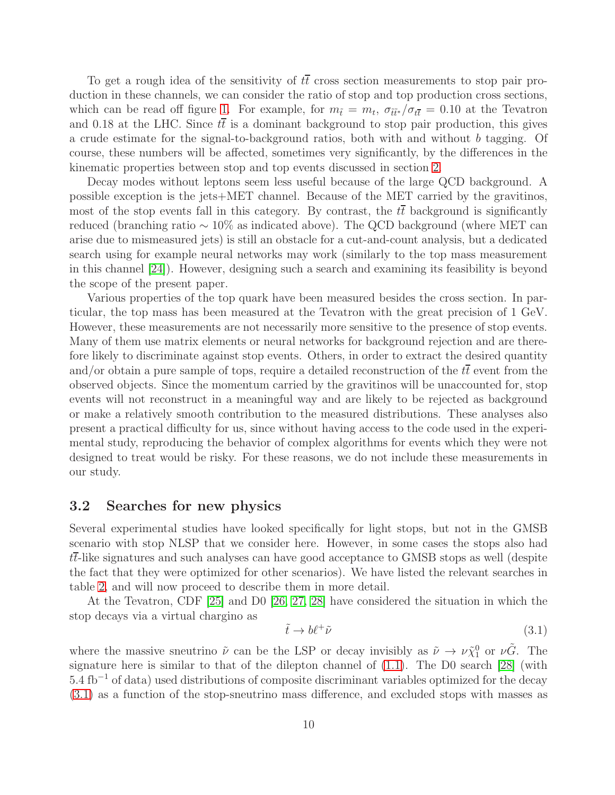To get a rough idea of the sensitivity of  $t\bar{t}$  cross section measurements to stop pair production in these channels, we can consider the ratio of stop and top production cross sections, which can be read off figure [1.](#page-2-0) For example, for  $m_{\tilde{t}} = m_t$ ,  $\sigma_{\tilde{t}\tilde{t}'} / \sigma_{t\tilde{t}} = 0.10$  at the Tevatron and 0.18 at the LHC. Since  $t\bar{t}$  is a dominant background to stop pair production, this gives a crude estimate for the signal-to-background ratios, both with and without b tagging. Of course, these numbers will be affected, sometimes very significantly, by the differences in the kinematic properties between stop and top events discussed in section [2.](#page-3-0)

Decay modes without leptons seem less useful because of the large QCD background. A possible exception is the jets+MET channel. Because of the MET carried by the gravitinos, most of the stop events fall in this category. By contrast, the  $t\bar{t}$  background is significantly reduced (branching ratio ∼ 10% as indicated above). The QCD background (where MET can arise due to mismeasured jets) is still an obstacle for a cut-and-count analysis, but a dedicated search using for example neural networks may work (similarly to the top mass measurement in this channel [\[24\]](#page-27-5)). However, designing such a search and examining its feasibility is beyond the scope of the present paper.

Various properties of the top quark have been measured besides the cross section. In particular, the top mass has been measured at the Tevatron with the great precision of 1 GeV. However, these measurements are not necessarily more sensitive to the presence of stop events. Many of them use matrix elements or neural networks for background rejection and are therefore likely to discriminate against stop events. Others, in order to extract the desired quantity and/or obtain a pure sample of tops, require a detailed reconstruction of the  $t\bar{t}$  event from the observed objects. Since the momentum carried by the gravitinos will be unaccounted for, stop events will not reconstruct in a meaningful way and are likely to be rejected as background or make a relatively smooth contribution to the measured distributions. These analyses also present a practical difficulty for us, since without having access to the code used in the experimental study, reproducing the behavior of complex algorithms for events which they were not designed to treat would be risky. For these reasons, we do not include these measurements in our study.

#### <span id="page-10-0"></span>3.2 Searches for new physics

Several experimental studies have looked specifically for light stops, but not in the GMSB scenario with stop NLSP that we consider here. However, in some cases the stops also had  $t\bar{t}$ -like signatures and such analyses can have good acceptance to GMSB stops as well (despite the fact that they were optimized for other scenarios). We have listed the relevant searches in table [2,](#page-11-0) and will now proceed to describe them in more detail.

At the Tevatron, CDF [\[25\]](#page-27-6) and D0 [\[26,](#page-27-7) [27,](#page-27-8) [28\]](#page-27-9) have considered the situation in which the stop decays via a virtual chargino as

<span id="page-10-1"></span>
$$
\tilde{t} \to b\ell^+\tilde{\nu} \tag{3.1}
$$

where the massive sneutrino  $\tilde{\nu}$  can be the LSP or decay invisibly as  $\tilde{\nu} \to \nu \tilde{\chi}_1^0$  or  $\nu \tilde{G}$ . The signature here is similar to that of the dilepton channel of [\(1.1\)](#page-2-1). The D0 search [\[28\]](#page-27-9) (with 5.4 fb<sup>-1</sup> of data) used distributions of composite discriminant variables optimized for the decay [\(3.1\)](#page-10-1) as a function of the stop-sneutrino mass difference, and excluded stops with masses as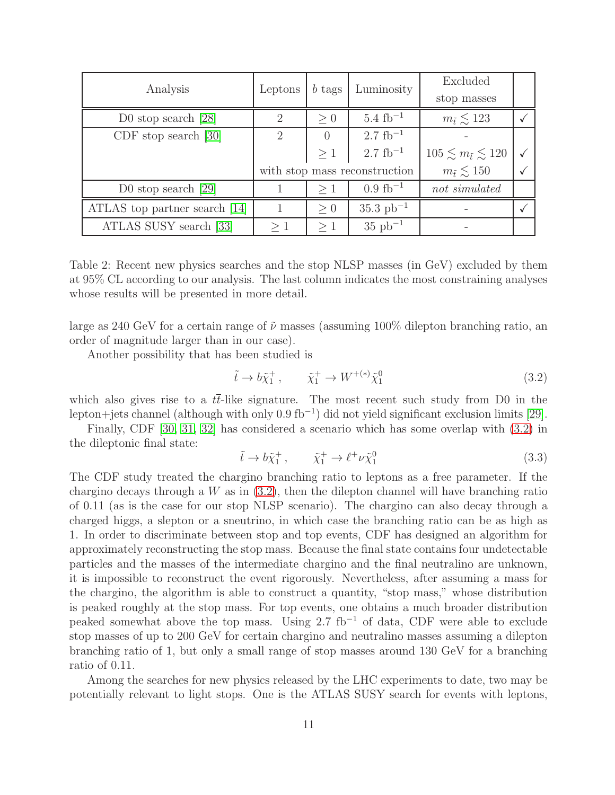| Analysis                      | Leptons | $b$ tags       | Luminosity                    | Excluded                          |  |
|-------------------------------|---------|----------------|-------------------------------|-----------------------------------|--|
|                               |         |                |                               | stop masses                       |  |
| D0 stop search $[28]$         | 2       | > 0            | $5.4~{\rm fb^{-1}}$           | $m_{\tilde{t}} \lesssim 123$      |  |
| $CDF$ stop search $[30]$      | 2       | $\overline{0}$ | $2.7~{\rm fb}^{-1}$           |                                   |  |
|                               |         | $\geq 1$       | $2.7~{\rm fb}^{-1}$           | $105 \leq m_{\tilde{t}} \leq 120$ |  |
|                               |         |                | with stop mass reconstruction | $m_{\tilde{t}} \lesssim 150$      |  |
| D0 stop search $[29]$         |         | >1             | $0.9~{\rm fb^{-1}}$           | not simulated                     |  |
| ATLAS top partner search [14] |         | > 0            | $35.3 \text{ pb}^{-1}$        |                                   |  |
| ATLAS SUSY search [33]        | >1      | $\geq 1$       | $35 pb^{-1}$                  |                                   |  |

<span id="page-11-0"></span>Table 2: Recent new physics searches and the stop NLSP masses (in GeV) excluded by them at 95% CL according to our analysis. The last column indicates the most constraining analyses whose results will be presented in more detail.

large as 240 GeV for a certain range of  $\tilde{\nu}$  masses (assuming 100% dilepton branching ratio, an order of magnitude larger than in our case).

Another possibility that has been studied is

<span id="page-11-1"></span>
$$
\tilde{t} \to b\tilde{\chi}_1^+, \qquad \tilde{\chi}_1^+ \to W^{+(*)}\tilde{\chi}_1^0 \tag{3.2}
$$

which also gives rise to a  $t\bar{t}$ -like signature. The most recent such study from D0 in the lepton+jets channel (although with only 0.9 fb<sup>−</sup><sup>1</sup> ) did not yield significant exclusion limits [\[29\]](#page-27-11).

Finally, CDF [\[30,](#page-27-10) [31,](#page-27-12) [32\]](#page-28-1) has considered a scenario which has some overlap with [\(3.2\)](#page-11-1) in the dileptonic final state:

$$
\tilde{t} \to b\tilde{\chi}_1^+, \qquad \tilde{\chi}_1^+ \to \ell^+ \nu \tilde{\chi}_1^0 \tag{3.3}
$$

The CDF study treated the chargino branching ratio to leptons as a free parameter. If the chargino decays through a  $W$  as in  $(3.2)$ , then the dilepton channel will have branching ratio of 0.11 (as is the case for our stop NLSP scenario). The chargino can also decay through a charged higgs, a slepton or a sneutrino, in which case the branching ratio can be as high as 1. In order to discriminate between stop and top events, CDF has designed an algorithm for approximately reconstructing the stop mass. Because the final state contains four undetectable particles and the masses of the intermediate chargino and the final neutralino are unknown, it is impossible to reconstruct the event rigorously. Nevertheless, after assuming a mass for the chargino, the algorithm is able to construct a quantity, "stop mass," whose distribution is peaked roughly at the stop mass. For top events, one obtains a much broader distribution peaked somewhat above the top mass. Using 2.7 fb<sup>-1</sup> of data, CDF were able to exclude stop masses of up to 200 GeV for certain chargino and neutralino masses assuming a dilepton branching ratio of 1, but only a small range of stop masses around 130 GeV for a branching ratio of 0.11.

Among the searches for new physics released by the LHC experiments to date, two may be potentially relevant to light stops. One is the ATLAS SUSY search for events with leptons,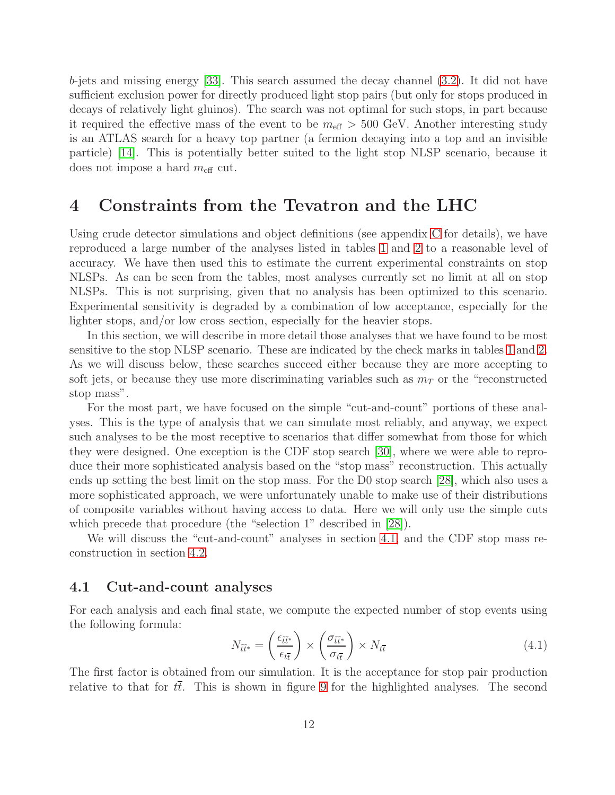b-jets and missing energy [\[33\]](#page-28-0). This search assumed the decay channel [\(3.2\)](#page-11-1). It did not have sufficient exclusion power for directly produced light stop pairs (but only for stops produced in decays of relatively light gluinos). The search was not optimal for such stops, in part because it required the effective mass of the event to be  $m_{\text{eff}} > 500 \text{ GeV}$ . Another interesting study is an ATLAS search for a heavy top partner (a fermion decaying into a top and an invisible particle) [\[14\]](#page-26-11). This is potentially better suited to the light stop NLSP scenario, because it does not impose a hard  $m_{\text{eff}}$  cut.

### <span id="page-12-0"></span>4 Constraints from the Tevatron and the LHC

Using crude detector simulations and object definitions (see appendix [C](#page-23-1) for details), we have reproduced a large number of the analyses listed in tables [1](#page-9-1) and [2](#page-11-0) to a reasonable level of accuracy. We have then used this to estimate the current experimental constraints on stop NLSPs. As can be seen from the tables, most analyses currently set no limit at all on stop NLSPs. This is not surprising, given that no analysis has been optimized to this scenario. Experimental sensitivity is degraded by a combination of low acceptance, especially for the lighter stops, and/or low cross section, especially for the heavier stops.

In this section, we will describe in more detail those analyses that we have found to be most sensitive to the stop NLSP scenario. These are indicated by the check marks in tables [1](#page-9-1) and [2.](#page-11-0) As we will discuss below, these searches succeed either because they are more accepting to soft jets, or because they use more discriminating variables such as  $m<sub>T</sub>$  or the "reconstructed" stop mass".

For the most part, we have focused on the simple "cut-and-count" portions of these analyses. This is the type of analysis that we can simulate most reliably, and anyway, we expect such analyses to be the most receptive to scenarios that differ somewhat from those for which they were designed. One exception is the CDF stop search [\[30\]](#page-27-10), where we were able to reproduce their more sophisticated analysis based on the "stop mass" reconstruction. This actually ends up setting the best limit on the stop mass. For the D0 stop search [\[28\]](#page-27-9), which also uses a more sophisticated approach, we were unfortunately unable to make use of their distributions of composite variables without having access to data. Here we will only use the simple cuts which precede that procedure (the "selection 1" described in [\[28\]](#page-27-9)).

We will discuss the "cut-and-count" analyses in section [4.1,](#page-12-1) and the CDF stop mass reconstruction in section [4.2.](#page-15-0)

#### <span id="page-12-1"></span>4.1 Cut-and-count analyses

For each analysis and each final state, we compute the expected number of stop events using the following formula:

<span id="page-12-2"></span>
$$
N_{\tilde{t}\tilde{t}^*} = \left(\frac{\epsilon_{\tilde{t}\tilde{t}^*}}{\epsilon_{t\tilde{t}}}\right) \times \left(\frac{\sigma_{\tilde{t}\tilde{t}^*}}{\sigma_{t\tilde{t}}}\right) \times N_{t\tilde{t}}
$$
\n(4.1)

The first factor is obtained from our simulation. It is the acceptance for stop pair production relative to that for  $t\bar{t}$ . This is shown in figure [9](#page-14-0) for the highlighted analyses. The second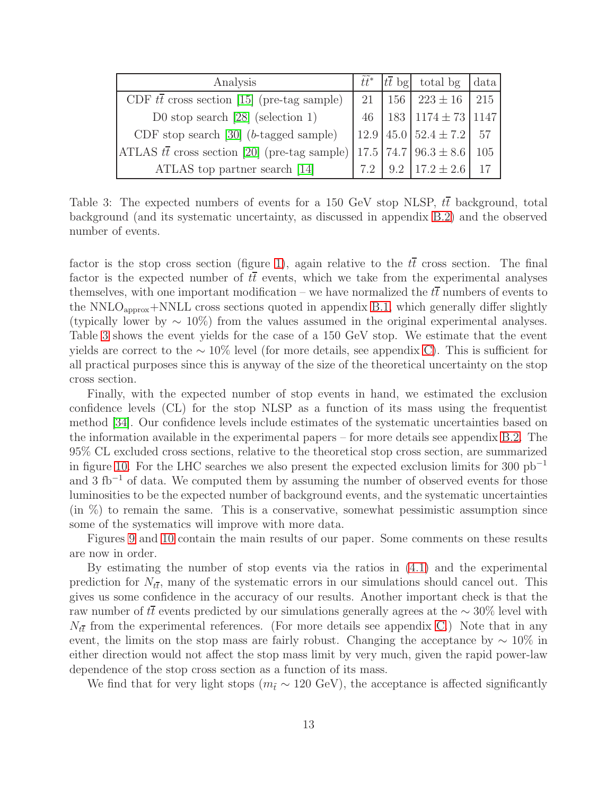| Analysis                                             |     | $\tilde{t}\tilde{t}$ <sup>*</sup> $ t\overline{t}$ bg total bg data |     |
|------------------------------------------------------|-----|---------------------------------------------------------------------|-----|
| CDF $t\bar{t}$ cross section [15] (pre-tag sample)   | 21  | $156$   $223 \pm 16$                                                | 215 |
| D0 stop search $[28]$ (selection 1)                  |     | 46   183   1174 $\pm$ 73   1147                                     |     |
| CDF stop search $[30]$ ( <i>b</i> -tagged sample)    |     | $12.9 \mid 45.0 \mid 52.4 \pm 7.2 \mid$                             | 57  |
| ATLAS $t\bar{t}$ cross section [20] (pre-tag sample) |     | $17.5$   74.7   96.3 $\pm$ 8.6                                      | 105 |
| ATLAS top partner search [14]                        | 7.2 | 9.2   17.2 $\pm$ 2.6                                                | 17  |

<span id="page-13-0"></span>Table 3: The expected numbers of events for a 150 GeV stop NLSP,  $t\bar{t}$  background, total background (and its systematic uncertainty, as discussed in appendix [B.2\)](#page-23-0) and the observed number of events.

factor is the stop cross section (figure [1\)](#page-2-0), again relative to the  $t\bar{t}$  cross section. The final factor is the expected number of  $t\bar{t}$  events, which we take from the experimental analyses themselves, with one important modification – we have normalized the  $t\bar{t}$  numbers of events to the NNLO<sub>approx</sub>+NNLL cross sections quoted in appendix [B.1,](#page-22-1) which generally differ slightly (typically lower by  $\sim 10\%$ ) from the values assumed in the original experimental analyses. Table [3](#page-13-0) shows the event yields for the case of a 150 GeV stop. We estimate that the event yields are correct to the  $\sim 10\%$  level (for more details, see appendix [C\)](#page-23-1). This is sufficient for all practical purposes since this is anyway of the size of the theoretical uncertainty on the stop cross section.

Finally, with the expected number of stop events in hand, we estimated the exclusion confidence levels (CL) for the stop NLSP as a function of its mass using the frequentist method [\[34\]](#page-28-2). Our confidence levels include estimates of the systematic uncertainties based on the information available in the experimental papers – for more details see appendix [B.2.](#page-23-0) The 95% CL excluded cross sections, relative to the theoretical stop cross section, are summarized in figure [10.](#page-15-1) For the LHC searches we also present the expected exclusion limits for 300 pb<sup>−</sup><sup>1</sup> and 3 fb<sup>-1</sup> of data. We computed them by assuming the number of observed events for those luminosities to be the expected number of background events, and the systematic uncertainties  $(\text{in } \%)$  to remain the same. This is a conservative, somewhat pessimistic assumption since some of the systematics will improve with more data.

Figures [9](#page-14-0) and [10](#page-15-1) contain the main results of our paper. Some comments on these results are now in order.

By estimating the number of stop events via the ratios in [\(4.1\)](#page-12-2) and the experimental prediction for  $N_{t\bar{t}}$ , many of the systematic errors in our simulations should cancel out. This gives us some confidence in the accuracy of our results. Another important check is that the raw number of tt events predicted by our simulations generally agrees at the  $\sim 30\%$  level with  $N_{t\bar{t}}$  from the experimental references. (For more details see appendix [C.](#page-23-1)) Note that in any event, the limits on the stop mass are fairly robust. Changing the acceptance by  $\sim 10\%$  in either direction would not affect the stop mass limit by very much, given the rapid power-law dependence of the stop cross section as a function of its mass.

We find that for very light stops ( $m_t \sim 120 \text{ GeV}$ ), the acceptance is affected significantly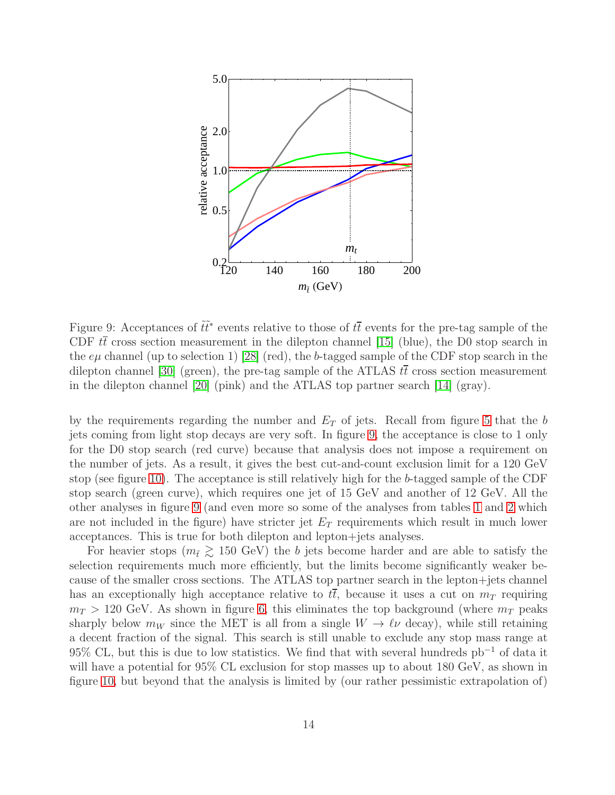

<span id="page-14-0"></span>Figure 9: Acceptances of  $\tilde{t}\tilde{t}^*$  events relative to those of  $t\bar{t}$  events for the pre-tag sample of the CDF  $t\bar{t}$  cross section measurement in the dilepton channel [\[15\]](#page-26-12) (blue), the D0 stop search in the  $e\mu$  channel (up to selection 1) [\[28\]](#page-27-9) (red), the b-tagged sample of the CDF stop search in the dilepton channel [\[30\]](#page-27-10) (green), the pre-tag sample of the ATLAS  $t\bar{t}$  cross section measurement in the dilepton channel [\[20\]](#page-27-1) (pink) and the ATLAS top partner search [\[14\]](#page-26-11) (gray).

by the requirements regarding the number and  $E_T$  of jets. Recall from figure [5](#page-6-0) that the b jets coming from light stop decays are very soft. In figure [9,](#page-14-0) the acceptance is close to 1 only for the D0 stop search (red curve) because that analysis does not impose a requirement on the number of jets. As a result, it gives the best cut-and-count exclusion limit for a 120 GeV stop (see figure [10\)](#page-15-1). The acceptance is still relatively high for the b-tagged sample of the CDF stop search (green curve), which requires one jet of 15 GeV and another of 12 GeV. All the other analyses in figure [9](#page-14-0) (and even more so some of the analyses from tables [1](#page-9-1) and [2](#page-11-0) which are not included in the figure) have stricter jet  $E_T$  requirements which result in much lower acceptances. This is true for both dilepton and lepton+jets analyses.

For heavier stops ( $m_{\tilde{t}} \geq 150$  GeV) the b jets become harder and are able to satisfy the selection requirements much more efficiently, but the limits become significantly weaker because of the smaller cross sections. The ATLAS top partner search in the lepton+jets channel has an exceptionally high acceptance relative to  $t\bar{t}$ , because it uses a cut on  $m<sub>T</sub>$  requiring  $m_T > 120$  GeV. As shown in figure [6,](#page-6-1) this eliminates the top background (where  $m_T$  peaks sharply below  $m_W$  since the MET is all from a single  $W \to \ell \nu$  decay), while still retaining a decent fraction of the signal. This search is still unable to exclude any stop mass range at 95% CL, but this is due to low statistics. We find that with several hundreds  $pb^{-1}$  of data it will have a potential for 95% CL exclusion for stop masses up to about 180 GeV, as shown in figure [10,](#page-15-1) but beyond that the analysis is limited by (our rather pessimistic extrapolation of)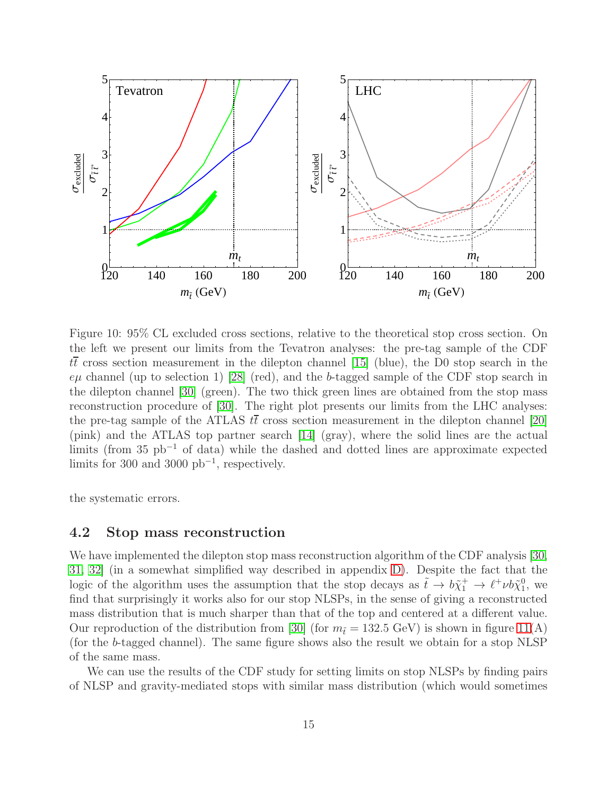

<span id="page-15-1"></span>Figure 10: 95% CL excluded cross sections, relative to the theoretical stop cross section. On the left we present our limits from the Tevatron analyses: the pre-tag sample of the CDF  $t\bar{t}$  cross section measurement in the dilepton channel [\[15\]](#page-26-12) (blue), the D0 stop search in the  $e\mu$  channel (up to selection 1) [\[28\]](#page-27-9) (red), and the b-tagged sample of the CDF stop search in the dilepton channel [\[30\]](#page-27-10) (green). The two thick green lines are obtained from the stop mass reconstruction procedure of [\[30\]](#page-27-10). The right plot presents our limits from the LHC analyses: the pre-tag sample of the ATLAS  $t\bar{t}$  cross section measurement in the dilepton channel [\[20\]](#page-27-1) (pink) and the ATLAS top partner search [\[14\]](#page-26-11) (gray), where the solid lines are the actual limits (from 35 pb<sup>−</sup><sup>1</sup> of data) while the dashed and dotted lines are approximate expected limits for 300 and 3000  $pb^{-1}$ , respectively.

<span id="page-15-0"></span>the systematic errors.

#### 4.2 Stop mass reconstruction

We have implemented the dilepton stop mass reconstruction algorithm of the CDF analysis [\[30,](#page-27-10) [31,](#page-27-12) [32\]](#page-28-1) (in a somewhat simplified way described in appendix [D\)](#page-25-0). Despite the fact that the logic of the algorithm uses the assumption that the stop decays as  $\tilde{t} \to b\tilde{\chi}_1^+ \to \ell^+ \nu b \tilde{\chi}_1^0$ , we find that surprisingly it works also for our stop NLSPs, in the sense of giving a reconstructed mass distribution that is much sharper than that of the top and centered at a different value. Our reproduction of the distribution from [\[30\]](#page-27-10) (for  $m_{\tilde{t}} = 132.5 \text{ GeV}$ ) is shown in figure [11\(](#page-16-0)A) (for the b-tagged channel). The same figure shows also the result we obtain for a stop NLSP of the same mass.

We can use the results of the CDF study for setting limits on stop NLSPs by finding pairs of NLSP and gravity-mediated stops with similar mass distribution (which would sometimes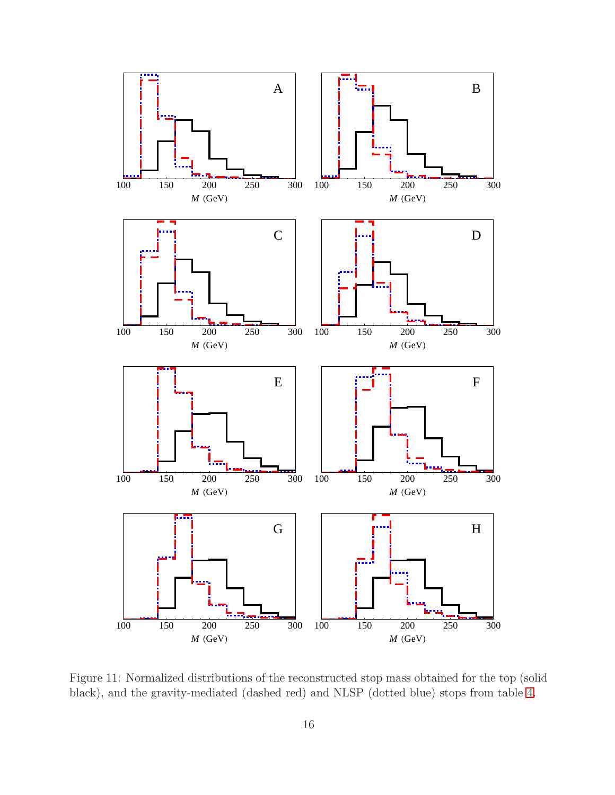

<span id="page-16-0"></span>Figure 11: Normalized distributions of the reconstructed stop mass obtained for the top (solid black), and the gravity-mediated (dashed red) and NLSP (dotted blue) stops from table [4.](#page-17-2)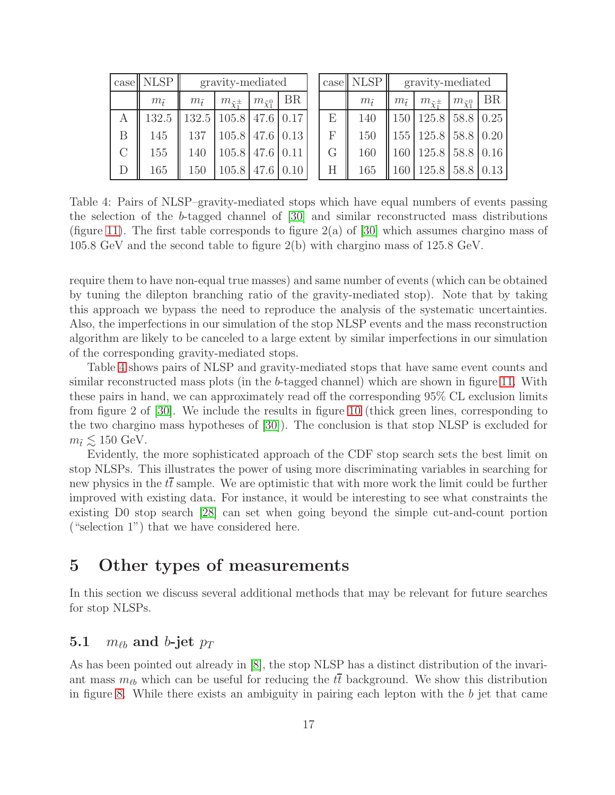|               | $\case$ NLSP    | gravity-mediated |                                        |                        |    |  |
|---------------|-----------------|------------------|----------------------------------------|------------------------|----|--|
|               | $m_{\tilde{t}}$ | $m_{\tilde{t}}$  | $m_{\tilde{\chi}^{\pm}_1}$             | $m_{\tilde{\chi}^0_1}$ | BR |  |
| А             | 132.5           |                  | $132.5 \mid 105.8 \mid 47.6 \mid 0.17$ |                        |    |  |
| B             | 145             | 137              | $105.8$ 47.6 0.13                      |                        |    |  |
| $\mathcal{C}$ | 155             | 140              | $105.8$ 47.6 0.11                      |                        |    |  |
| $\Box$        | 165             | 150              | $105.8$ 47.6 0.10                      |                        |    |  |

|                           | $\case$ NLSP    | gravity-mediated |                                      |                            |    |  |
|---------------------------|-----------------|------------------|--------------------------------------|----------------------------|----|--|
|                           | $m_{\tilde{t}}$ | $m_{\tilde{t}}$  | $m_{\tilde{\chi}^{\pm}}$             | $m_{\tilde{\chi}_{1}^{0}}$ | BR |  |
| E                         | 140             |                  | 150   125.8   58.8   0.25            |                            |    |  |
| $\boldsymbol{\mathrm{F}}$ | 150             |                  | 155   125.8   58.8   0.20            |                            |    |  |
| G                         | 160             |                  | $160 \mid 125.8 \mid 58.8 \mid 0.16$ |                            |    |  |
| H                         | 165             |                  | $160 \mid 125.8 \mid 58.8 \mid 0.13$ |                            |    |  |

<span id="page-17-2"></span>Table 4: Pairs of NLSP–gravity-mediated stops which have equal numbers of events passing the selection of the b-tagged channel of [\[30\]](#page-27-10) and similar reconstructed mass distributions (figure [11\)](#page-16-0). The first table corresponds to figure  $2(a)$  of [\[30\]](#page-27-10) which assumes chargino mass of 105.8 GeV and the second table to figure 2(b) with chargino mass of 125.8 GeV.

require them to have non-equal true masses) and same number of events (which can be obtained by tuning the dilepton branching ratio of the gravity-mediated stop). Note that by taking this approach we bypass the need to reproduce the analysis of the systematic uncertainties. Also, the imperfections in our simulation of the stop NLSP events and the mass reconstruction algorithm are likely to be canceled to a large extent by similar imperfections in our simulation of the corresponding gravity-mediated stops.

Table [4](#page-17-2) shows pairs of NLSP and gravity-mediated stops that have same event counts and similar reconstructed mass plots (in the b-tagged channel) which are shown in figure [11.](#page-16-0) With these pairs in hand, we can approximately read off the corresponding 95% CL exclusion limits from figure 2 of [\[30\]](#page-27-10). We include the results in figure [10](#page-15-1) (thick green lines, corresponding to the two chargino mass hypotheses of [\[30\]](#page-27-10)). The conclusion is that stop NLSP is excluded for  $m_{\tilde{t}} \lesssim 150 \text{ GeV}.$ 

Evidently, the more sophisticated approach of the CDF stop search sets the best limit on stop NLSPs. This illustrates the power of using more discriminating variables in searching for new physics in the  $t\bar{t}$  sample. We are optimistic that with more work the limit could be further improved with existing data. For instance, it would be interesting to see what constraints the existing D0 stop search [\[28\]](#page-27-9) can set when going beyond the simple cut-and-count portion ("selection 1") that we have considered here.

## <span id="page-17-0"></span>5 Other types of measurements

In this section we discuss several additional methods that may be relevant for future searches for stop NLSPs.

## <span id="page-17-1"></span>5.1  $m_{\ell b}$  and b-jet  $p_T$

As has been pointed out already in [\[8\]](#page-26-5), the stop NLSP has a distinct distribution of the invariant mass  $m_{\ell b}$  which can be useful for reducing the  $t\bar{t}$  background. We show this distribution in figure [8.](#page-7-0) While there exists an ambiguity in pairing each lepton with the  $b$  jet that came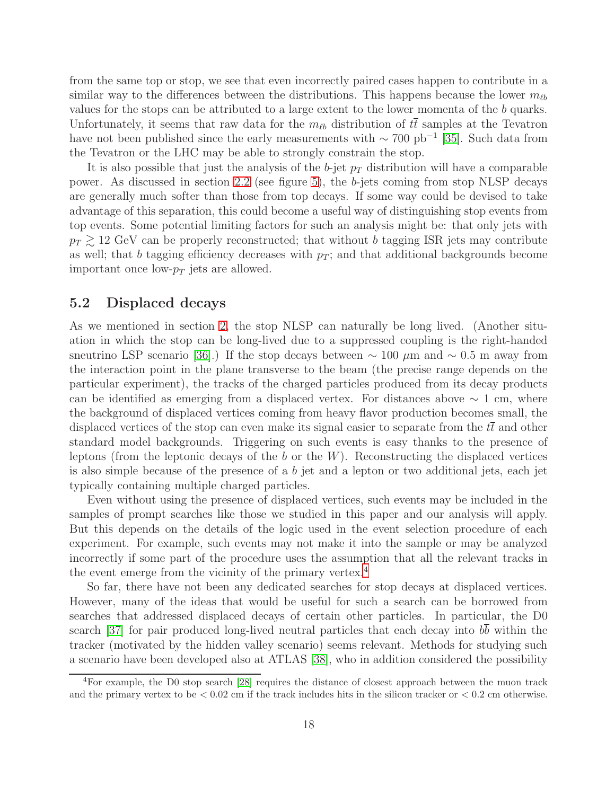from the same top or stop, we see that even incorrectly paired cases happen to contribute in a similar way to the differences between the distributions. This happens because the lower  $m_{\ell b}$ values for the stops can be attributed to a large extent to the lower momenta of the b quarks. Unfortunately, it seems that raw data for the  $m_{\ell b}$  distribution of  $t\bar{t}$  samples at the Tevatron have not been published since the early measurements with  $\sim 700 \text{ pb}^{-1}$  [\[35\]](#page-28-3). Such data from the Tevatron or the LHC may be able to strongly constrain the stop.

It is also possible that just the analysis of the b-jet  $p_T$  distribution will have a comparable power. As discussed in section [2.2](#page-5-0) (see figure [5\)](#page-6-0), the b-jets coming from stop NLSP decays are generally much softer than those from top decays. If some way could be devised to take advantage of this separation, this could become a useful way of distinguishing stop events from top events. Some potential limiting factors for such an analysis might be: that only jets with  $p_T \gtrsim 12$  GeV can be properly reconstructed; that without b tagging ISR jets may contribute as well; that b tagging efficiency decreases with  $p_T$ ; and that additional backgrounds become important once low- $p_T$  jets are allowed.

### <span id="page-18-0"></span>5.2 Displaced decays

As we mentioned in section [2,](#page-3-0) the stop NLSP can naturally be long lived. (Another situation in which the stop can be long-lived due to a suppressed coupling is the right-handed sneutrino LSP scenario [\[36\]](#page-28-4).) If the stop decays between  $\sim 100 \ \mu m$  and  $\sim 0.5 \ m$  away from the interaction point in the plane transverse to the beam (the precise range depends on the particular experiment), the tracks of the charged particles produced from its decay products can be identified as emerging from a displaced vertex. For distances above  $\sim 1$  cm, where the background of displaced vertices coming from heavy flavor production becomes small, the displaced vertices of the stop can even make its signal easier to separate from the  $t\bar{t}$  and other standard model backgrounds. Triggering on such events is easy thanks to the presence of leptons (from the leptonic decays of the b or the  $W$ ). Reconstructing the displaced vertices is also simple because of the presence of a b jet and a lepton or two additional jets, each jet typically containing multiple charged particles.

Even without using the presence of displaced vertices, such events may be included in the samples of prompt searches like those we studied in this paper and our analysis will apply. But this depends on the details of the logic used in the event selection procedure of each experiment. For example, such events may not make it into the sample or may be analyzed incorrectly if some part of the procedure uses the assumption that all the relevant tracks in the event emerge from the vicinity of the primary vertex.<sup>[4](#page-18-1)</sup>

So far, there have not been any dedicated searches for stop decays at displaced vertices. However, many of the ideas that would be useful for such a search can be borrowed from searches that addressed displaced decays of certain other particles. In particular, the D0 search [\[37\]](#page-28-5) for pair produced long-lived neutral particles that each decay into  $b\overline{b}$  within the tracker (motivated by the hidden valley scenario) seems relevant. Methods for studying such a scenario have been developed also at ATLAS [\[38\]](#page-28-6), who in addition considered the possibility

<span id="page-18-1"></span><sup>4</sup>For example, the D0 stop search [\[28\]](#page-27-9) requires the distance of closest approach between the muon track and the primary vertex to be  $< 0.02$  cm if the track includes hits in the silicon tracker or  $< 0.2$  cm otherwise.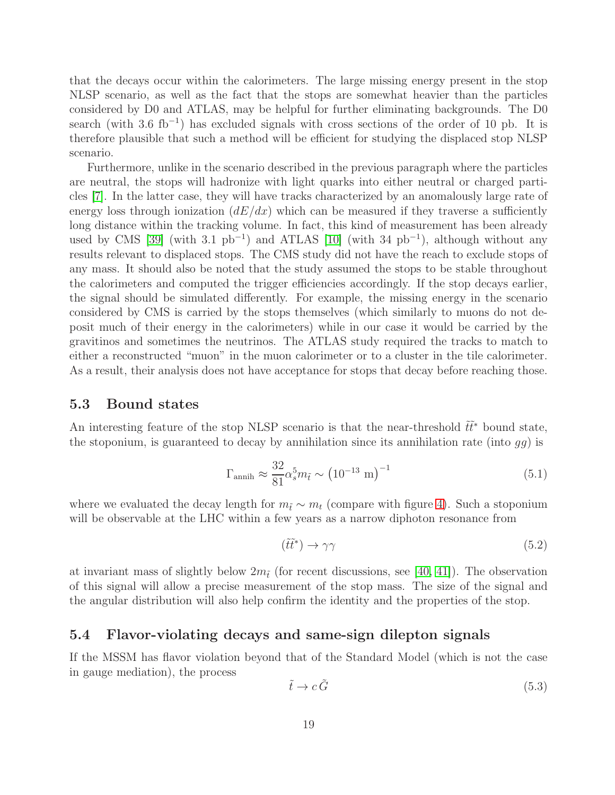that the decays occur within the calorimeters. The large missing energy present in the stop NLSP scenario, as well as the fact that the stops are somewhat heavier than the particles considered by D0 and ATLAS, may be helpful for further eliminating backgrounds. The D0 search (with 3.6 fb<sup>-1</sup>) has excluded signals with cross sections of the order of 10 pb. It is therefore plausible that such a method will be efficient for studying the displaced stop NLSP scenario.

Furthermore, unlike in the scenario described in the previous paragraph where the particles are neutral, the stops will hadronize with light quarks into either neutral or charged particles [\[7\]](#page-26-4). In the latter case, they will have tracks characterized by an anomalously large rate of energy loss through ionization  $(dE/dx)$  which can be measured if they traverse a sufficiently long distance within the tracking volume. In fact, this kind of measurement has been already used by CMS [\[39\]](#page-28-7) (with 3.1  $pb^{-1}$ ) and ATLAS [\[10\]](#page-26-7) (with 34  $pb^{-1}$ ), although without any results relevant to displaced stops. The CMS study did not have the reach to exclude stops of any mass. It should also be noted that the study assumed the stops to be stable throughout the calorimeters and computed the trigger efficiencies accordingly. If the stop decays earlier, the signal should be simulated differently. For example, the missing energy in the scenario considered by CMS is carried by the stops themselves (which similarly to muons do not deposit much of their energy in the calorimeters) while in our case it would be carried by the gravitinos and sometimes the neutrinos. The ATLAS study required the tracks to match to either a reconstructed "muon" in the muon calorimeter or to a cluster in the tile calorimeter. As a result, their analysis does not have acceptance for stops that decay before reaching those.

#### <span id="page-19-0"></span>5.3 Bound states

An interesting feature of the stop NLSP scenario is that the near-threshold  $\tilde{t}\tilde{t}^*$  bound state, the stoponium, is guaranteed to decay by annihilation since its annihilation rate (into  $gg$ ) is

$$
\Gamma_{\rm annih} \approx \frac{32}{81} \alpha_s^5 m_{\tilde{t}} \sim \left(10^{-13} \, \text{m}\right)^{-1} \tag{5.1}
$$

where we evaluated the decay length for  $m_t \sim m_t$  (compare with figure [4\)](#page-5-1). Such a stoponium will be observable at the LHC within a few years as a narrow diphoton resonance from

$$
(\tilde{t}\tilde{t}^*) \to \gamma\gamma \tag{5.2}
$$

at invariant mass of slightly below  $2m_t$  (for recent discussions, see [\[40,](#page-28-8) [41\]](#page-28-9)). The observation of this signal will allow a precise measurement of the stop mass. The size of the signal and the angular distribution will also help confirm the identity and the properties of the stop.

### <span id="page-19-1"></span>5.4 Flavor-violating decays and same-sign dilepton signals

If the MSSM has flavor violation beyond that of the Standard Model (which is not the case in gauge mediation), the process

<span id="page-19-2"></span>
$$
\tilde{t} \to c\,\tilde{G} \tag{5.3}
$$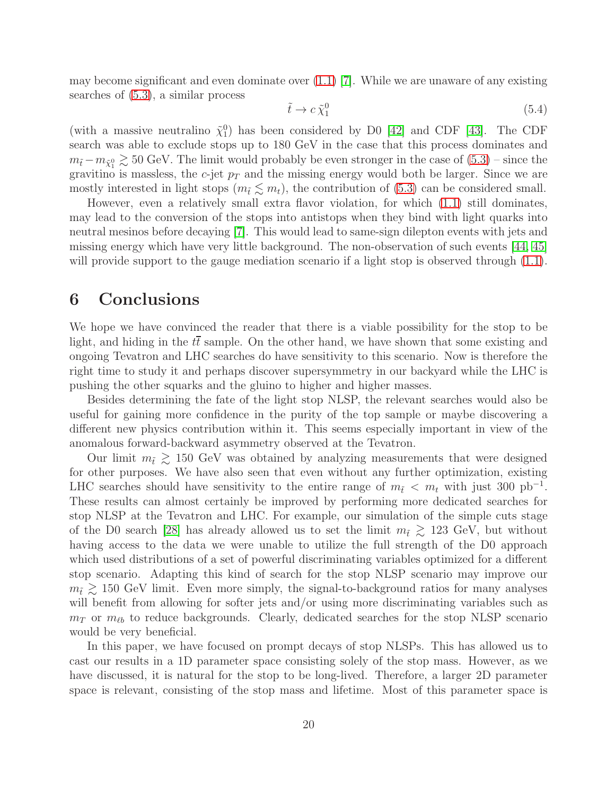may become significant and even dominate over  $(1.1)$  [\[7\]](#page-26-4). While we are unaware of any existing searches of [\(5.3\)](#page-19-2), a similar process

$$
\tilde{t} \to c \tilde{\chi}_1^0 \tag{5.4}
$$

(with a massive neutralino  $\tilde{\chi}_1^0$ ) has been considered by D0 [\[42\]](#page-28-10) and CDF [\[43\]](#page-28-11). The CDF search was able to exclude stops up to 180 GeV in the case that this process dominates and  $m_{\tilde{t}}-m_{\tilde{\chi}_{1}^{0}} \gtrsim 50$  GeV. The limit would probably be even stronger in the case of  $(5.3)$  – since the gravitino is massless, the  $c$ -jet  $p<sub>T</sub>$  and the missing energy would both be larger. Since we are mostly interested in light stops  $(m_{\tilde{t}} \lesssim m_t)$ , the contribution of [\(5.3\)](#page-19-2) can be considered small.

However, even a relatively small extra flavor violation, for which [\(1.1\)](#page-2-1) still dominates, may lead to the conversion of the stops into antistops when they bind with light quarks into neutral mesinos before decaying [\[7\]](#page-26-4). This would lead to same-sign dilepton events with jets and missing energy which have very little background. The non-observation of such events [\[44,](#page-28-12) [45\]](#page-28-13) will provide support to the gauge mediation scenario if a light stop is observed through  $(1.1)$ .

### <span id="page-20-0"></span>6 Conclusions

We hope we have convinced the reader that there is a viable possibility for the stop to be light, and hiding in the  $t\bar{t}$  sample. On the other hand, we have shown that some existing and ongoing Tevatron and LHC searches do have sensitivity to this scenario. Now is therefore the right time to study it and perhaps discover supersymmetry in our backyard while the LHC is pushing the other squarks and the gluino to higher and higher masses.

Besides determining the fate of the light stop NLSP, the relevant searches would also be useful for gaining more confidence in the purity of the top sample or maybe discovering a different new physics contribution within it. This seems especially important in view of the anomalous forward-backward asymmetry observed at the Tevatron.

Our limit  $m_{\tilde{t}} \geq 150$  GeV was obtained by analyzing measurements that were designed for other purposes. We have also seen that even without any further optimization, existing LHC searches should have sensitivity to the entire range of  $m_{\tilde{t}} < m_t$  with just 300 pb<sup>-1</sup>. These results can almost certainly be improved by performing more dedicated searches for stop NLSP at the Tevatron and LHC. For example, our simulation of the simple cuts stage of the D0 search [\[28\]](#page-27-9) has already allowed us to set the limit  $m_{\tilde{t}} \geq 123$  GeV, but without having access to the data we were unable to utilize the full strength of the D0 approach which used distributions of a set of powerful discriminating variables optimized for a different stop scenario. Adapting this kind of search for the stop NLSP scenario may improve our  $m_{\tilde{t}} \gtrsim 150$  GeV limit. Even more simply, the signal-to-background ratios for many analyses will benefit from allowing for softer jets and/or using more discriminating variables such as  $m<sub>T</sub>$  or  $m<sub>ℓb</sub>$  to reduce backgrounds. Clearly, dedicated searches for the stop NLSP scenario would be very beneficial.

In this paper, we have focused on prompt decays of stop NLSPs. This has allowed us to cast our results in a 1D parameter space consisting solely of the stop mass. However, as we have discussed, it is natural for the stop to be long-lived. Therefore, a larger 2D parameter space is relevant, consisting of the stop mass and lifetime. Most of this parameter space is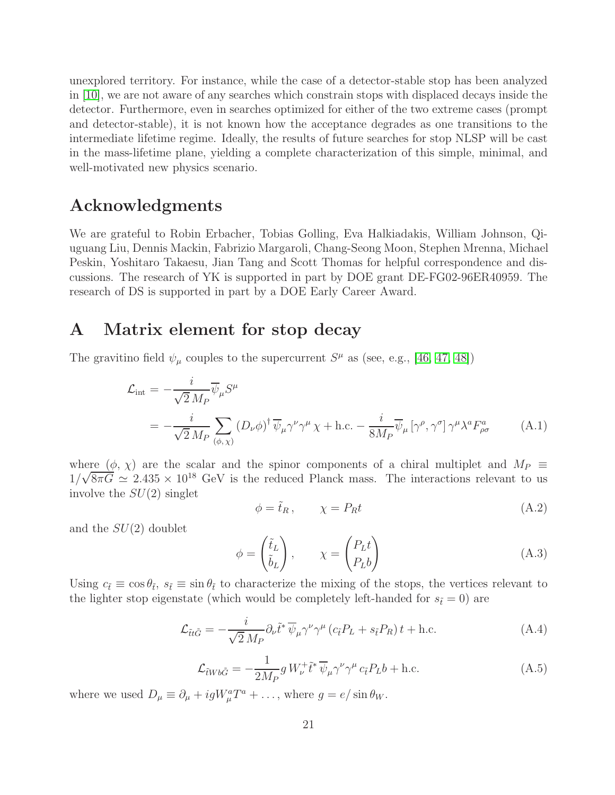unexplored territory. For instance, while the case of a detector-stable stop has been analyzed in [\[10\]](#page-26-7), we are not aware of any searches which constrain stops with displaced decays inside the detector. Furthermore, even in searches optimized for either of the two extreme cases (prompt and detector-stable), it is not known how the acceptance degrades as one transitions to the intermediate lifetime regime. Ideally, the results of future searches for stop NLSP will be cast in the mass-lifetime plane, yielding a complete characterization of this simple, minimal, and well-motivated new physics scenario.

## Acknowledgments

We are grateful to Robin Erbacher, Tobias Golling, Eva Halkiadakis, William Johnson, Qiuguang Liu, Dennis Mackin, Fabrizio Margaroli, Chang-Seong Moon, Stephen Mrenna, Michael Peskin, Yoshitaro Takaesu, Jian Tang and Scott Thomas for helpful correspondence and discussions. The research of YK is supported in part by DOE grant DE-FG02-96ER40959. The research of DS is supported in part by a DOE Early Career Award.

### <span id="page-21-0"></span>A Matrix element for stop decay

The gravitino field  $\psi_{\mu}$  couples to the supercurrent  $S^{\mu}$  as (see, e.g., [\[46,](#page-29-0) [47,](#page-29-1) [48\]](#page-29-2))

$$
\mathcal{L}_{int} = -\frac{i}{\sqrt{2} M_P} \overline{\psi}_{\mu} S^{\mu}
$$
\n
$$
= -\frac{i}{\sqrt{2} M_P} \sum_{(\phi, \chi)} (D_{\nu} \phi)^{\dagger} \overline{\psi}_{\mu} \gamma^{\nu} \gamma^{\mu} \chi + \text{h.c.} - \frac{i}{8 M_P} \overline{\psi}_{\mu} [\gamma^{\rho}, \gamma^{\sigma}] \gamma^{\mu} \lambda^a F^{a}_{\rho \sigma} \tag{A.1}
$$

where  $(\phi, \chi)$  are the scalar and the spinor components of a chiral multiplet and  $M_P \equiv$  $1/\sqrt{8\pi G} \simeq 2.435 \times 10^{18}$  GeV is the reduced Planck mass. The interactions relevant to us involve the  $SU(2)$  singlet

$$
\phi = \tilde{t}_R, \qquad \chi = P_R t \tag{A.2}
$$

and the  $SU(2)$  doublet

$$
\phi = \begin{pmatrix} \tilde{t}_L \\ \tilde{b}_L \end{pmatrix}, \qquad \chi = \begin{pmatrix} P_L t \\ P_L b \end{pmatrix} \tag{A.3}
$$

Using  $c_{\tilde{t}} \equiv \cos \theta_{\tilde{t}}$ ,  $s_{\tilde{t}} \equiv \sin \theta_{\tilde{t}}$  to characterize the mixing of the stops, the vertices relevant to the lighter stop eigenstate (which would be completely left-handed for  $s_{\tilde{t}} = 0$ ) are

$$
\mathcal{L}_{\tilde{t}t\tilde{G}} = -\frac{i}{\sqrt{2}M_P} \partial_{\nu} \tilde{t}^* \overline{\psi}_{\mu} \gamma^{\nu} \gamma^{\mu} \left( c_{\tilde{t}} P_L + s_{\tilde{t}} P_R \right) t + \text{h.c.} \tag{A.4}
$$

$$
\mathcal{L}_{\tilde{t}Wb\tilde{G}} = -\frac{1}{2M_P} g W_{\nu}^+ \tilde{t}^* \overline{\psi}_{\mu} \gamma^{\nu} \gamma^{\mu} c_{\tilde{t}} P_L b + \text{h.c.}
$$
\n(A.5)

where we used  $D_{\mu} \equiv \partial_{\mu} + igW_{\mu}^{a}T^{a} + \dots$ , where  $g = e/\sin \theta_{W}$ .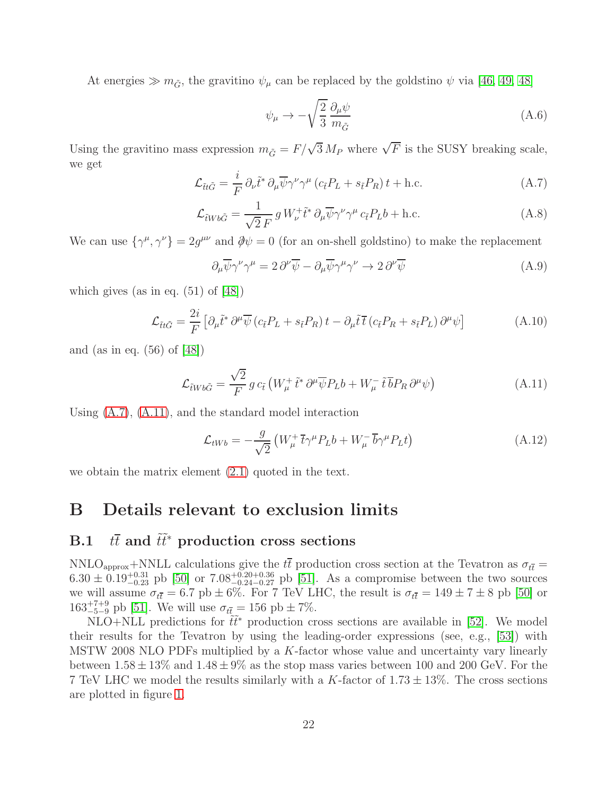At energies  $\gg m_{\tilde{G}}$ , the gravitino  $\psi_{\mu}$  can be replaced by the goldstino  $\psi$  via [\[46,](#page-29-0) [49,](#page-29-3) [48\]](#page-29-2)

$$
\psi_{\mu} \to -\sqrt{\frac{2}{3}} \frac{\partial_{\mu} \psi}{m_{\tilde{G}}} \tag{A.6}
$$

Using the gravitino mass expression  $m_{\tilde{G}} = F/\sqrt{3} M_P$  where  $\sqrt{F}$  is the SUSY breaking scale, we get

<span id="page-22-2"></span>
$$
\mathcal{L}_{\tilde{t}t\tilde{G}} = \frac{i}{F} \partial_{\nu} \tilde{t}^* \partial_{\mu} \overline{\psi} \gamma^{\nu} \gamma^{\mu} \left( c_{\tilde{t}} P_L + s_{\tilde{t}} P_R \right) t + \text{h.c.}
$$
\n(A.7)

$$
\mathcal{L}_{\tilde{t}Wb\tilde{G}} = \frac{1}{\sqrt{2}F} g W_{\nu}^{+} \tilde{t}^* \partial_{\mu} \overline{\psi} \gamma^{\nu} \gamma^{\mu} c_{\tilde{t}} P_L b + \text{h.c.}
$$
\n(A.8)

We can use  $\{\gamma^{\mu}, \gamma^{\nu}\} = 2g^{\mu\nu}$  and  $\partial \psi = 0$  (for an on-shell goldstino) to make the replacement

$$
\partial_{\mu}\overline{\psi}\gamma^{\nu}\gamma^{\mu} = 2\,\partial^{\nu}\overline{\psi} - \partial_{\mu}\overline{\psi}\gamma^{\mu}\gamma^{\nu} \to 2\,\partial^{\nu}\overline{\psi}
$$
\n(A.9)

which gives (as in eq.  $(51)$  of  $[48]$ )

$$
\mathcal{L}_{\tilde{t}t\tilde{G}} = \frac{2i}{F} \left[ \partial_{\mu} \tilde{t}^* \, \partial^{\mu} \overline{\psi} \left( c_{\tilde{t}} P_L + s_{\tilde{t}} P_R \right) t - \partial_{\mu} \tilde{t} \, \overline{t} \left( c_{\tilde{t}} P_R + s_{\tilde{t}} P_L \right) \partial^{\mu} \psi \right] \tag{A.10}
$$

and (as in eq. (56) of [\[48\]](#page-29-2))

<span id="page-22-3"></span>
$$
\mathcal{L}_{\tilde{t}Wb\tilde{G}} = \frac{\sqrt{2}}{F} g c_{\tilde{t}} \left( W_{\mu}^+ \tilde{t}^* \partial^{\mu} \overline{\psi} P_L b + W_{\mu}^- \tilde{t} \overline{b} P_R \partial^{\mu} \psi \right)
$$
(A.11)

Using [\(A.7\)](#page-22-2), [\(A.11\)](#page-22-3), and the standard model interaction

$$
\mathcal{L}_{tWb} = -\frac{g}{\sqrt{2}} \left( W^+_\mu \bar{t} \gamma^\mu P_L b + W^-_\mu \bar{b} \gamma^\mu P_L t \right) \tag{A.12}
$$

<span id="page-22-0"></span>we obtain the matrix element [\(2.1\)](#page-3-3) quoted in the text.

## <span id="page-22-1"></span>B Details relevant to exclusion limits

# B.1  $t\bar{t}$  and  $\tilde{t}\tilde{t}^*$  production cross sections

NNLO<sub>approx</sub>+NNLL calculations give the  $t\bar{t}$  production cross section at the Tevatron as  $\sigma_{t\bar{t}} =$  $6.30 \pm 0.19_{-0.23}^{+0.31}$  pb [\[50\]](#page-29-4) or  $7.08_{-0.24}^{+0.20+0.36}$  pb [\[51\]](#page-29-5). As a compromise between the two sources we will assume  $\sigma_{t\bar{t}} = 6.7 \text{ pb} \pm 6\%$ . For 7 TeV LHC, the result is  $\sigma_{t\bar{t}} = 149 \pm 7 \pm 8 \text{ pb}$  [\[50\]](#page-29-4) or  $163^{+7+9}_{-5-9}$  pb [\[51\]](#page-29-5). We will use  $\sigma_{t\bar{t}} = 156$  pb  $\pm 7\%$ .

NLO+NLL predictions for  $\tilde{t}\tilde{t}^*$  production cross sections are available in [\[52\]](#page-29-6). We model their results for the Tevatron by using the leading-order expressions (see, e.g., [\[53\]](#page-29-7)) with MSTW 2008 NLO PDFs multiplied by a K-factor whose value and uncertainty vary linearly between  $1.58 \pm 13\%$  and  $1.48 \pm 9\%$  as the stop mass varies between 100 and 200 GeV. For the 7 TeV LHC we model the results similarly with a K-factor of  $1.73 \pm 13\%$ . The cross sections are plotted in figure [1.](#page-2-0)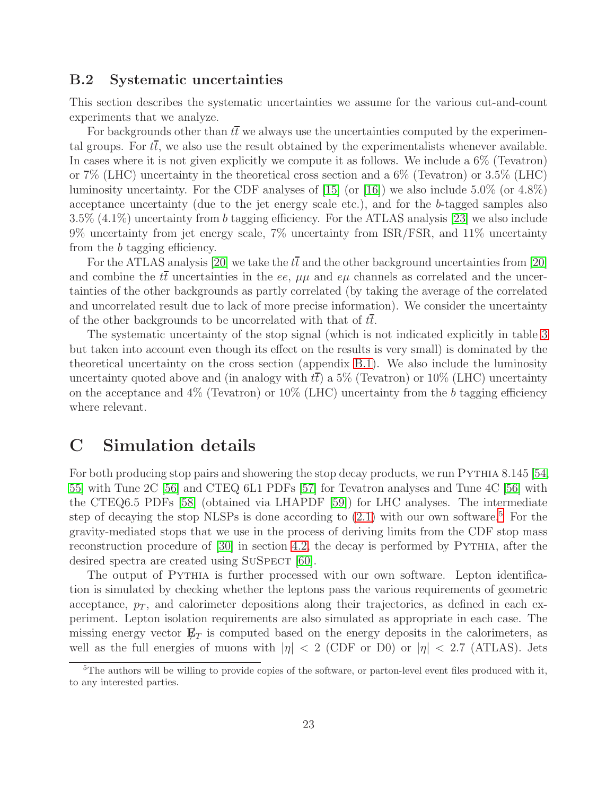### <span id="page-23-0"></span>B.2 Systematic uncertainties

This section describes the systematic uncertainties we assume for the various cut-and-count experiments that we analyze.

For backgrounds other than  $t\bar{t}$  we always use the uncertainties computed by the experimental groups. For  $t\bar{t}$ , we also use the result obtained by the experimentalists whenever available. In cases where it is not given explicitly we compute it as follows. We include a 6% (Tevatron) or 7% (LHC) uncertainty in the theoretical cross section and a 6% (Tevatron) or 3.5% (LHC) luminosity uncertainty. For the CDF analyses of  $[15]$  (or  $[16]$ ) we also include 5.0% (or 4.8%) acceptance uncertainty (due to the jet energy scale etc.), and for the b-tagged samples also 3.5% (4.1%) uncertainty from b tagging efficiency. For the ATLAS analysis [\[23\]](#page-27-4) we also include 9% uncertainty from jet energy scale, 7% uncertainty from ISR/FSR, and 11% uncertainty from the b tagging efficiency.

For the ATLAS analysis [\[20\]](#page-27-1) we take the  $t\bar{t}$  and the other background uncertainties from [20] and combine the  $t\bar{t}$  uncertainties in the ee,  $\mu\mu$  and  $e\mu$  channels as correlated and the uncertainties of the other backgrounds as partly correlated (by taking the average of the correlated and uncorrelated result due to lack of more precise information). We consider the uncertainty of the other backgrounds to be uncorrelated with that of  $t\bar{t}$ .

The systematic uncertainty of the stop signal (which is not indicated explicitly in table [3](#page-13-0) but taken into account even though its effect on the results is very small) is dominated by the theoretical uncertainty on the cross section (appendix [B.1\)](#page-22-1). We also include the luminosity uncertainty quoted above and (in analogy with  $tt$ ) a 5% (Tevatron) or 10% (LHC) uncertainty on the acceptance and  $4\%$  (Tevatron) or  $10\%$  (LHC) uncertainty from the b tagging efficiency where relevant.

## <span id="page-23-1"></span>C Simulation details

For both producing stop pairs and showering the stop decay products, we run PYTHIA 8.145 [\[54,](#page-29-8) [55\]](#page-29-9) with Tune 2C [\[56\]](#page-29-10) and CTEQ 6L1 PDFs [\[57\]](#page-29-11) for Tevatron analyses and Tune 4C [\[56\]](#page-29-10) with the CTEQ6.5 PDFs [\[58\]](#page-29-12) (obtained via LHAPDF [\[59\]](#page-30-0)) for LHC analyses. The intermediate step of decaying the stop NLSPs is done according to  $(2.1)$  with our own software.<sup>[5](#page-23-2)</sup> For the gravity-mediated stops that we use in the process of deriving limits from the CDF stop mass reconstruction procedure of [\[30\]](#page-27-10) in section [4.2,](#page-15-0) the decay is performed by Pythia, after the desired spectra are created using SUSPECT [\[60\]](#page-30-1).

The output of Pythia is further processed with our own software. Lepton identification is simulated by checking whether the leptons pass the various requirements of geometric acceptance,  $p<sub>T</sub>$ , and calorimeter depositions along their trajectories, as defined in each experiment. Lepton isolation requirements are also simulated as appropriate in each case. The missing energy vector  $\mathbf{E}_T$  is computed based on the energy deposits in the calorimeters, as well as the full energies of muons with  $|\eta| < 2$  (CDF or D0) or  $|\eta| < 2.7$  (ATLAS). Jets

<span id="page-23-2"></span><sup>&</sup>lt;sup>5</sup>The authors will be willing to provide copies of the software, or parton-level event files produced with it, to any interested parties.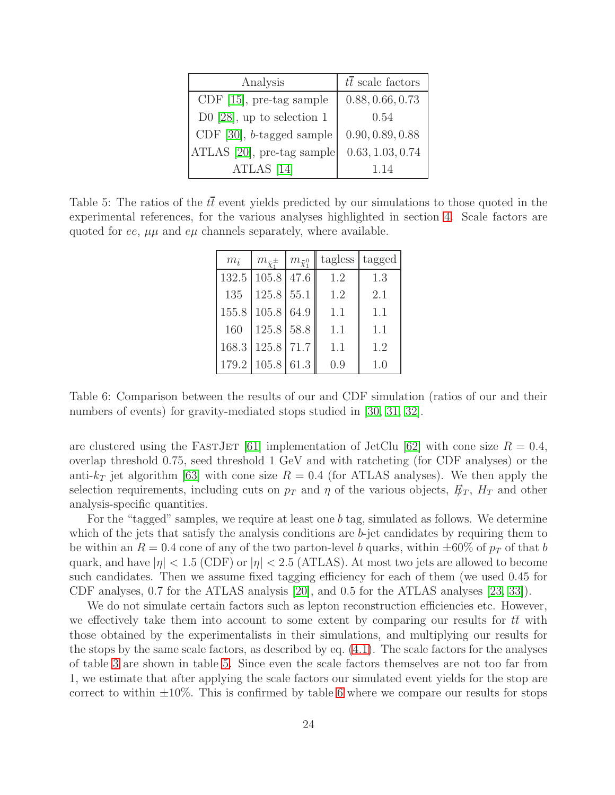| Analysis                     | $t\overline{t}$ scale factors |
|------------------------------|-------------------------------|
| CDF $[15]$ , pre-tag sample  | 0.88, 0.66, 0.73              |
| D0 [28], up to selection $1$ | 0.54                          |
| CDF $[30]$ , b-tagged sample | 0.90, 0.89, 0.88              |
| ATLAS [20], pre-tag sample   | 0.63, 1.03, 0.74              |
| ATLAS [14]                   | 1.14                          |

<span id="page-24-0"></span>Table 5: The ratios of the  $t\bar{t}$  event yields predicted by our simulations to those quoted in the experimental references, for the various analyses highlighted in section [4.](#page-12-0) Scale factors are quoted for ee,  $\mu\mu$  and  $e\mu$  channels separately, where available.

| $m_{\tilde{t}}$ | $m_{\tilde{\chi}^{\pm}_1}$ | $m_{\tilde{\chi}_{1}^{0}}$ | tagless | tagged |
|-----------------|----------------------------|----------------------------|---------|--------|
| 132.5           | 105.8                      | 47.6                       | 1.2     | 1.3    |
| 135             | $125.8$ 55.1               |                            | 1.2     | 2.1    |
| 155.8           | 105.8 64.9                 |                            | 1.1     | 1.1    |
| 160             | 125.8 58.8                 |                            | 1.1     | 1.1    |
| 168.3           | $125.8$ 71.7               |                            | 1.1     | 1.2    |
|                 | 179.2 105.8                | 61.3                       | (0.9)   | 1.(1)  |

<span id="page-24-1"></span>Table 6: Comparison between the results of our and CDF simulation (ratios of our and their numbers of events) for gravity-mediated stops studied in [\[30,](#page-27-10) [31,](#page-27-12) [32\]](#page-28-1).

are clustered using the FASTJET [\[61\]](#page-30-2) implementation of JetClu [\[62\]](#page-30-3) with cone size  $R = 0.4$ , overlap threshold 0.75, seed threshold 1 GeV and with ratcheting (for CDF analyses) or the anti- $k_T$  jet algorithm [\[63\]](#page-30-4) with cone size  $R = 0.4$  (for ATLAS analyses). We then apply the selection requirements, including cuts on  $p_T$  and  $\eta$  of the various objects,  $E_T$ ,  $H_T$  and other analysis-specific quantities.

For the "tagged" samples, we require at least one b tag, simulated as follows. We determine which of the jets that satisfy the analysis conditions are  $b$ -jet candidates by requiring them to be within an  $R = 0.4$  cone of any of the two parton-level b quarks, within  $\pm 60\%$  of  $p_T$  of that b quark, and have  $|\eta| < 1.5$  (CDF) or  $|\eta| < 2.5$  (ATLAS). At most two jets are allowed to become such candidates. Then we assume fixed tagging efficiency for each of them (we used 0.45 for CDF analyses, 0.7 for the ATLAS analysis [\[20\]](#page-27-1), and 0.5 for the ATLAS analyses [\[23,](#page-27-4) [33\]](#page-28-0)).

We do not simulate certain factors such as lepton reconstruction efficiencies etc. However, we effectively take them into account to some extent by comparing our results for tt with those obtained by the experimentalists in their simulations, and multiplying our results for the stops by the same scale factors, as described by eq. [\(4.1\)](#page-12-2). The scale factors for the analyses of table [3](#page-13-0) are shown in table [5.](#page-24-0) Since even the scale factors themselves are not too far from 1, we estimate that after applying the scale factors our simulated event yields for the stop are correct to within  $\pm 10\%$ . This is confirmed by table [6](#page-24-1) where we compare our results for stops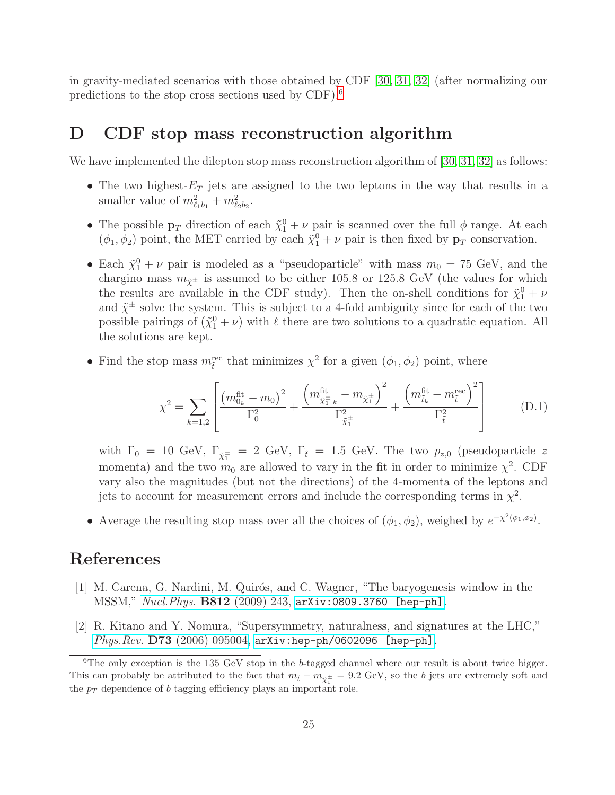in gravity-mediated scenarios with those obtained by CDF [\[30,](#page-27-10) [31,](#page-27-12) [32\]](#page-28-1) (after normalizing our predictions to the stop cross sections used by CDF).[6](#page-25-3)

## <span id="page-25-0"></span>D CDF stop mass reconstruction algorithm

We have implemented the dilepton stop mass reconstruction algorithm of [\[30,](#page-27-10) [31,](#page-27-12) [32\]](#page-28-1) as follows:

- The two highest- $E_T$  jets are assigned to the two leptons in the way that results in a smaller value of  $m_{\ell_1b_1}^2 + m_{\ell_2b_2}^2$ .
- The possible  $\mathbf{p}_T$  direction of each  $\tilde{\chi}_1^0 + \nu$  pair is scanned over the full  $\phi$  range. At each  $(\phi_1, \phi_2)$  point, the MET carried by each  $\tilde{\chi}_1^0 + \nu$  pair is then fixed by  $\mathbf{p}_T$  conservation.
- Each  $\tilde{\chi}_1^0 + \nu$  pair is modeled as a "pseudoparticle" with mass  $m_0 = 75$  GeV, and the chargino mass  $m_{\tilde{\chi}^{\pm}}$  is assumed to be either 105.8 or 125.8 GeV (the values for which the results are available in the CDF study). Then the on-shell conditions for  $\tilde{\chi}_1^0 + \nu$ and  $\tilde{\chi}^{\pm}$  solve the system. This is subject to a 4-fold ambiguity since for each of the two possible pairings of  $(\tilde{\chi}_1^0 + \nu)$  with  $\ell$  there are two solutions to a quadratic equation. All the solutions are kept.
- Find the stop mass  $m_{\tilde{t}}^{\text{rec}}$  that minimizes  $\chi^2$  for a given  $(\phi_1, \phi_2)$  point, where

$$
\chi^2 = \sum_{k=1,2} \left[ \frac{\left( m_{0_k}^{\text{fit}} - m_0 \right)^2}{\Gamma_0^2} + \frac{\left( m_{\tilde{\chi}_1^{\pm} k}^{\text{fit}} - m_{\tilde{\chi}_1^{\pm}} \right)^2}{\Gamma_{\tilde{\chi}_1^{\pm}}} + \frac{\left( m_{\tilde{t}_k}^{\text{fit}} - m_{\tilde{t}}^{\text{rec}} \right)^2}{\Gamma_{\tilde{t}}^2} \right]
$$
(D.1)

with  $\Gamma_0 = 10 \text{ GeV}, \Gamma_{\tilde{\chi}_1^{\pm}} = 2 \text{ GeV}, \Gamma_{\tilde{t}} = 1.5 \text{ GeV}.$  The two  $p_{z,0}$  (pseudoparticle z momenta) and the two  $m_0$  are allowed to vary in the fit in order to minimize  $\chi^2$ . CDF vary also the magnitudes (but not the directions) of the 4-momenta of the leptons and jets to account for measurement errors and include the corresponding terms in  $\chi^2$ .

• Average the resulting stop mass over all the choices of  $(\phi_1, \phi_2)$ , weighed by  $e^{-\chi^2(\phi_1, \phi_2)}$ .

## <span id="page-25-1"></span>References

- [1] M. Carena, G. Nardini, M. Quirós, and C. Wagner, "The baryogenesis window in the MSSM," Nucl.Phys. B812 [\(2009\) 243,](http://dx.doi.org/10.1016/j.nuclphysb.2008.12.014) [arXiv:0809.3760 \[hep-ph\]](http://arxiv.org/abs/0809.3760).
- <span id="page-25-2"></span>[2] R. Kitano and Y. Nomura, "Supersymmetry, naturalness, and signatures at the LHC," Phys.Rev. D73 [\(2006\) 095004,](http://dx.doi.org/10.1103/PhysRevD.73.095004) [arXiv:hep-ph/0602096 \[hep-ph\]](http://arxiv.org/abs/hep-ph/0602096).

<span id="page-25-3"></span> $6$ The only exception is the 135 GeV stop in the b-tagged channel where our result is about twice bigger. This can probably be attributed to the fact that  $m_{\tilde{t}} - m_{\tilde{\chi}^{\pm}_1} = 9.2$  GeV, so the b jets are extremely soft and the  $p_T$  dependence of b tagging efficiency plays an important role.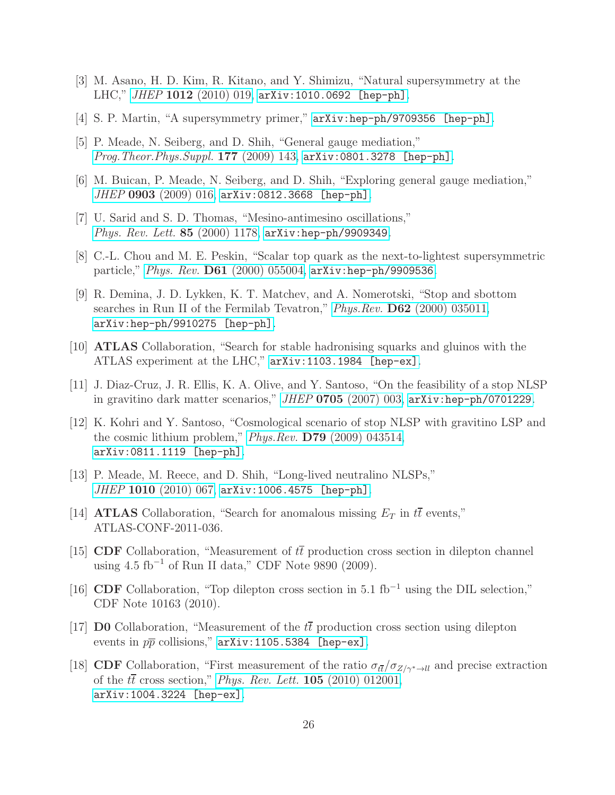- <span id="page-26-1"></span><span id="page-26-0"></span>[3] M. Asano, H. D. Kim, R. Kitano, and Y. Shimizu, "Natural supersymmetry at the LHC," JHEP 1012 [\(2010\) 019,](http://dx.doi.org/10.1007/JHEP12(2010)019) [arXiv:1010.0692 \[hep-ph\]](http://arxiv.org/abs/1010.0692).
- <span id="page-26-2"></span>[4] S. P. Martin, "A supersymmetry primer,"  $arXiv:hep-ph/9709356$  [hep-ph].
- <span id="page-26-3"></span>[5] P. Meade, N. Seiberg, and D. Shih, "General gauge mediation," [Prog.Theor.Phys.Suppl.](http://dx.doi.org/10.1143/PTPS.177.143) 177 (2009) 143, [arXiv:0801.3278 \[hep-ph\]](http://arxiv.org/abs/0801.3278).
- <span id="page-26-4"></span>[6] M. Buican, P. Meade, N. Seiberg, and D. Shih, "Exploring general gauge mediation," JHEP 0903 [\(2009\) 016,](http://dx.doi.org/10.1088/1126-6708/2009/03/016) [arXiv:0812.3668 \[hep-ph\]](http://arxiv.org/abs/0812.3668).
- <span id="page-26-5"></span>[7] U. Sarid and S. D. Thomas, "Mesino-antimesino oscillations," [Phys. Rev. Lett.](http://dx.doi.org/10.1103/PhysRevLett.85.1178) 85 (2000) 1178, [arXiv:hep-ph/9909349](http://arxiv.org/abs/hep-ph/9909349).
- <span id="page-26-6"></span>[8] C.-L. Chou and M. E. Peskin, "Scalar top quark as the next-to-lightest supersymmetric particle," Phys. Rev. D61 [\(2000\) 055004,](http://dx.doi.org/10.1103/PhysRevD.61.055004) [arXiv:hep-ph/9909536](http://arxiv.org/abs/hep-ph/9909536).
- [9] R. Demina, J. D. Lykken, K. T. Matchev, and A. Nomerotski, "Stop and sbottom searches in Run II of the Fermilab Tevatron," Phys. Rev. D62 [\(2000\) 035011,](http://dx.doi.org/10.1103/PhysRevD.62.035011) [arXiv:hep-ph/9910275 \[hep-ph\]](http://arxiv.org/abs/hep-ph/9910275).
- <span id="page-26-8"></span><span id="page-26-7"></span>[10] ATLAS Collaboration, "Search for stable hadronising squarks and gluinos with the ATLAS experiment at the LHC," [arXiv:1103.1984 \[hep-ex\]](http://arxiv.org/abs/1103.1984).
- <span id="page-26-9"></span>[11] J. Diaz-Cruz, J. R. Ellis, K. A. Olive, and Y. Santoso, "On the feasibility of a stop NLSP in gravitino dark matter scenarios," JHEP 0705 [\(2007\) 003,](http://dx.doi.org/10.1088/1126-6708/2007/05/003) [arXiv:hep-ph/0701229](http://arxiv.org/abs/hep-ph/0701229).
- [12] K. Kohri and Y. Santoso, "Cosmological scenario of stop NLSP with gravitino LSP and the cosmic lithium problem," Phys.Rev. D79 [\(2009\) 043514,](http://dx.doi.org/10.1103/PhysRevD.79.043514) [arXiv:0811.1119 \[hep-ph\]](http://arxiv.org/abs/0811.1119).
- <span id="page-26-10"></span>[13] P. Meade, M. Reece, and D. Shih, "Long-lived neutralino NLSPs," JHEP 1010 [\(2010\) 067,](http://dx.doi.org/10.1007/JHEP10(2010)067) [arXiv:1006.4575 \[hep-ph\]](http://arxiv.org/abs/1006.4575).
- <span id="page-26-12"></span><span id="page-26-11"></span>[14] **ATLAS** Collaboration, "Search for anomalous missing  $E_T$  in  $t\bar{t}$  events," ATLAS-CONF-2011-036.
- [15] CDF Collaboration, "Measurement of  $t\bar{t}$  production cross section in dilepton channel using  $4.5 \text{ fb}^{-1}$  of Run II data," CDF Note 9890 (2009).
- <span id="page-26-13"></span>[16] CDF Collaboration, "Top dilepton cross section in 5.1 fb<sup>-1</sup> using the DIL selection," CDF Note 10163 (2010).
- <span id="page-26-14"></span>[17] **DO** Collaboration, "Measurement of the  $t\bar{t}$  production cross section using dilepton events in  $p\overline{p}$  collisions," [arXiv:1105.5384 \[hep-ex\]](http://arxiv.org/abs/1105.5384).
- <span id="page-26-15"></span>[18] CDF Collaboration, "First measurement of the ratio  $\sigma_{t\bar{t}}/\sigma_{Z/\gamma^*\to ll}$  and precise extraction of the  $t\bar{t}$  cross section," *[Phys. Rev. Lett.](http://dx.doi.org/10.1103/PhysRevLett.105.012001)* **105** (2010) 012001, [arXiv:1004.3224 \[hep-ex\]](http://arxiv.org/abs/1004.3224).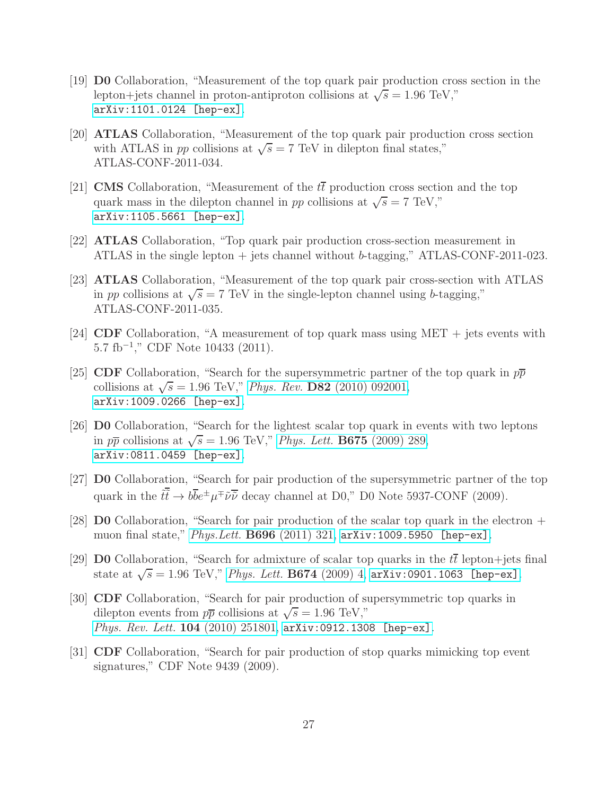- <span id="page-27-0"></span>[19] D0 Collaboration, "Measurement of the top quark pair production cross section in the lepton+jets channel in proton-antiproton collisions at  $\sqrt{s} = 1.96 \text{ TeV}$ ," [arXiv:1101.0124 \[hep-ex\]](http://arxiv.org/abs/1101.0124).
- <span id="page-27-1"></span>[20] ATLAS Collaboration, "Measurement of the top quark pair production cross section with ATLAS in pp collisions at  $\sqrt{s} = 7$  TeV in dilepton final states," ATLAS-CONF-2011-034.
- <span id="page-27-2"></span>[21] **CMS** Collaboration, "Measurement of the  $t\bar{t}$  production cross section and the top quark mass in the dilepton channel in pp collisions at  $\sqrt{s} = 7$  TeV," [arXiv:1105.5661 \[hep-ex\]](http://arxiv.org/abs/1105.5661).
- <span id="page-27-4"></span><span id="page-27-3"></span>[22] ATLAS Collaboration, "Top quark pair production cross-section measurement in ATLAS in the single lepton + jets channel without b-tagging," ATLAS-CONF-2011-023.
- [23] ATLAS Collaboration, "Measurement of the top quark pair cross-section with ATLAS in pp collisions at  $\sqrt{s} = 7$  TeV in the single-lepton channel using b-tagging," ATLAS-CONF-2011-035.
- <span id="page-27-6"></span><span id="page-27-5"></span>[24] CDF Collaboration, "A measurement of top quark mass using MET + jets events with 5.7 fb<sup>−</sup><sup>1</sup> ," CDF Note 10433 (2011).
- [25] CDF Collaboration, "Search for the supersymmetric partner of the top quark in  $p\bar{p}$ collisions at  $\sqrt{s} = 1.96$  TeV," Phys. Rev. D82 [\(2010\) 092001,](http://dx.doi.org/10.1103/PhysRevD.82.092001) [arXiv:1009.0266 \[hep-ex\]](http://arxiv.org/abs/1009.0266).
- <span id="page-27-7"></span>[26] D0 Collaboration, "Search for the lightest scalar top quark in events with two leptons in  $p\overline{p}$  collisions at  $\sqrt{s} = 1.96$  TeV," [Phys. Lett.](http://dx.doi.org/10.1016/j.physletb.2009.04.039) **B675** (2009) 289, [arXiv:0811.0459 \[hep-ex\]](http://arxiv.org/abs/0811.0459).
- <span id="page-27-8"></span>[27] **D0** Collaboration, "Search for pair production of the supersymmetric partner of the top quark in the  $\tilde{t}\tilde{t} \to b\overline{b}e^{\pm}\mu^{\mp}\tilde{\nu}\overline{\tilde{\nu}}$  decay channel at D0," D0 Note 5937-CONF (2009).
- <span id="page-27-9"></span>[28] D0 Collaboration, "Search for pair production of the scalar top quark in the electron + muon final state," Phys. Lett. **B696** [\(2011\) 321,](http://dx.doi.org/10.1016/j.physletb.2010.12.052) arXiv: 1009.5950 [hep-ex].
- <span id="page-27-11"></span>[29] **D0** Collaboration, "Search for admixture of scalar top quarks in the  $t\bar{t}$  lepton+jets final state at  $\sqrt{s} = 1.96$  TeV," [Phys. Lett.](http://dx.doi.org/10.1016/j.physletb.2009.02.027) **B674** (2009) 4,  $arXiv:0901.1063$  [hep-ex].
- <span id="page-27-10"></span>[30] CDF Collaboration, "Search for pair production of supersymmetric top quarks in dilepton events from  $p\bar{p}$  collisions at  $\sqrt{s} = 1.96$  TeV," [Phys. Rev. Lett.](http://dx.doi.org/10.1103/PhysRevLett.104.251801) 104 (2010) 251801, [arXiv:0912.1308 \[hep-ex\]](http://arxiv.org/abs/0912.1308).
- <span id="page-27-12"></span>[31] CDF Collaboration, "Search for pair production of stop quarks mimicking top event signatures," CDF Note 9439 (2009).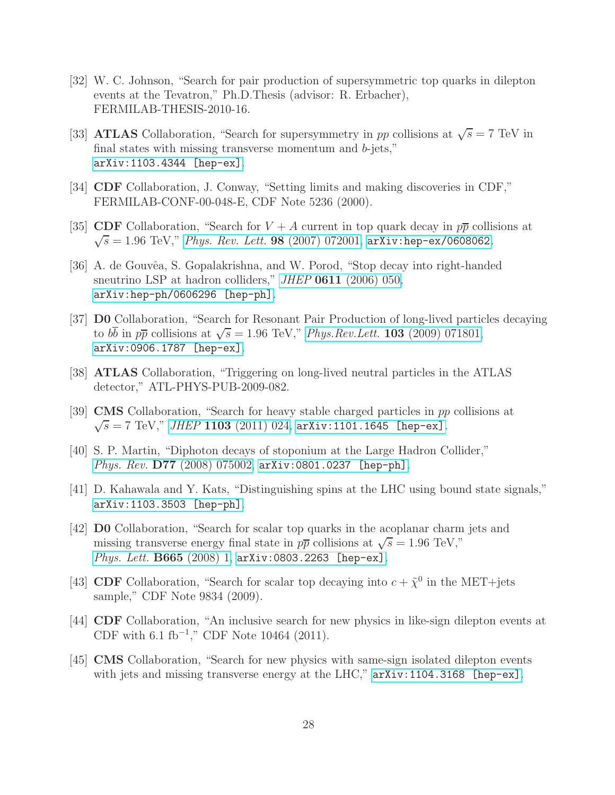- <span id="page-28-1"></span>[32] W. C. Johnson, "Search for pair production of supersymmetric top quarks in dilepton events at the Tevatron," Ph.D.Thesis (advisor: R. Erbacher), FERMILAB-THESIS-2010-16.
- <span id="page-28-0"></span>[33] **ATLAS** Collaboration, "Search for supersymmetry in pp collisions at  $\sqrt{s} = 7$  TeV in final states with missing transverse momentum and b-jets," [arXiv:1103.4344 \[hep-ex\]](http://arxiv.org/abs/1103.4344).
- <span id="page-28-3"></span><span id="page-28-2"></span>[34] CDF Collaboration, J. Conway, "Setting limits and making discoveries in CDF," FERMILAB-CONF-00-048-E, CDF Note 5236 (2000).
- <span id="page-28-4"></span>[35] CDF Collaboration, "Search for  $V + A$  current in top quark decay in  $p\bar{p}$  collisions at  $\sqrt{s} = 1.96 \text{ TeV},^{\prime\prime}$  [Phys. Rev. Lett.](http://dx.doi.org/10.1103/PhysRevLett.98.072001) 98 (2007) 072001, [arXiv:hep-ex/0608062](http://arxiv.org/abs/hep-ex/0608062).
- [36] A. de Gouvêa, S. Gopalakrishna, and W. Porod, "Stop decay into right-handed sneutrino LSP at hadron colliders," *JHEP* **0611** [\(2006\) 050,](http://dx.doi.org/10.1088/1126-6708/2006/11/050) [arXiv:hep-ph/0606296 \[hep-ph\]](http://arxiv.org/abs/hep-ph/0606296).
- <span id="page-28-5"></span>[37] D0 Collaboration, "Search for Resonant Pair Production of long-lived particles decaying to  $b\overline{b}$  in  $p\overline{p}$  collisions at  $\sqrt{s} = 1.96$  TeV," *[Phys.Rev.Lett.](http://dx.doi.org/10.1103/PhysRevLett.103.071801)* **103** (2009) 071801, [arXiv:0906.1787 \[hep-ex\]](http://arxiv.org/abs/0906.1787).
- <span id="page-28-7"></span><span id="page-28-6"></span>[38] ATLAS Collaboration, "Triggering on long-lived neutral particles in the ATLAS detector," ATL-PHYS-PUB-2009-082.
- <span id="page-28-8"></span>[39] CMS Collaboration, "Search for heavy stable charged particles in pp collisions at  $\sqrt{s} = 7$  TeV," JHEP 1103 [\(2011\) 024,](http://dx.doi.org/10.1007/JHEP03(2011)024) [arXiv:1101.1645 \[hep-ex\]](http://arxiv.org/abs/1101.1645).
- <span id="page-28-9"></span>[40] S. P. Martin, "Diphoton decays of stoponium at the Large Hadron Collider," Phys. Rev. **D77** [\(2008\) 075002,](http://dx.doi.org/10.1103/PhysRevD.77.075002) [arXiv:0801.0237 \[hep-ph\]](http://arxiv.org/abs/0801.0237).
- [41] D. Kahawala and Y. Kats, "Distinguishing spins at the LHC using bound state signals," [arXiv:1103.3503 \[hep-ph\]](http://arxiv.org/abs/1103.3503).
- <span id="page-28-10"></span>[42] D0 Collaboration, "Search for scalar top quarks in the acoplanar charm jets and missing transverse energy final state in  $p\bar{p}$  collisions at  $\sqrt{s} = 1.96$  TeV," [Phys. Lett.](http://dx.doi.org/10.1016/j.physletb.2008.05.037) B665 (2008) 1, [arXiv:0803.2263 \[hep-ex\]](http://arxiv.org/abs/0803.2263).
- <span id="page-28-11"></span>[43] CDF Collaboration, "Search for scalar top decaying into  $c + \tilde{\chi}^0$  in the MET+jets sample," CDF Note 9834 (2009).
- <span id="page-28-12"></span>[44] CDF Collaboration, "An inclusive search for new physics in like-sign dilepton events at CDF with  $6.1 \text{ fb}^{-1}$ ," CDF Note 10464 (2011).
- <span id="page-28-13"></span>[45] CMS Collaboration, "Search for new physics with same-sign isolated dilepton events with jets and missing transverse energy at the LHC,"  $arXiv:1104.3168$  [hep-ex].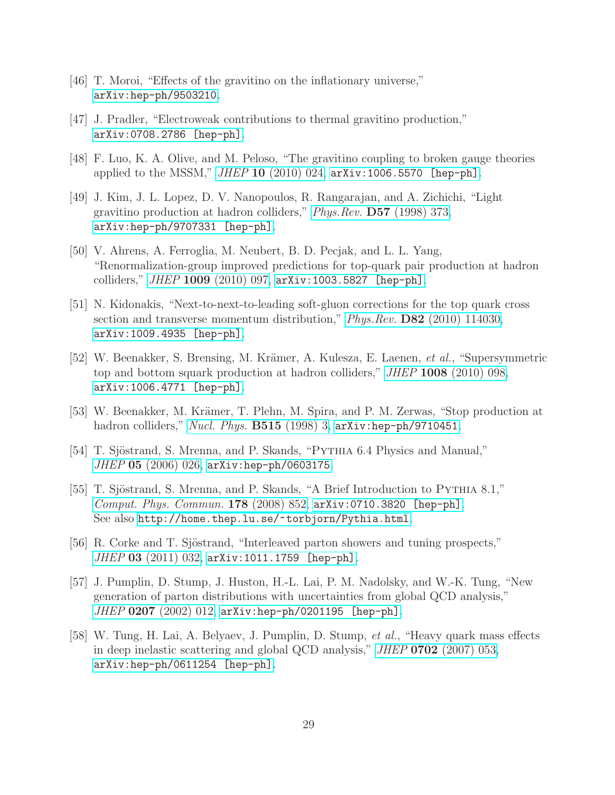- <span id="page-29-1"></span><span id="page-29-0"></span>[46] T. Moroi, "Effects of the gravitino on the inflationary universe," [arXiv:hep-ph/9503210](http://arxiv.org/abs/hep-ph/9503210).
- <span id="page-29-2"></span>[47] J. Pradler, "Electroweak contributions to thermal gravitino production," [arXiv:0708.2786 \[hep-ph\]](http://arxiv.org/abs/0708.2786).
- <span id="page-29-3"></span>[48] F. Luo, K. A. Olive, and M. Peloso, "The gravitino coupling to broken gauge theories applied to the MSSM,"  $JHEP$  10 [\(2010\) 024,](http://dx.doi.org/10.1007/JHEP10(2010)024)  $arXiv:1006.5570$  [hep-ph].
- [49] J. Kim, J. L. Lopez, D. V. Nanopoulos, R. Rangarajan, and A. Zichichi, "Light gravitino production at hadron colliders," Phys.Rev. D57 [\(1998\) 373,](http://dx.doi.org/10.1103/PhysRevD.57.373) [arXiv:hep-ph/9707331 \[hep-ph\]](http://arxiv.org/abs/hep-ph/9707331).
- <span id="page-29-4"></span>[50] V. Ahrens, A. Ferroglia, M. Neubert, B. D. Pecjak, and L. L. Yang, "Renormalization-group improved predictions for top-quark pair production at hadron colliders," JHEP 1009 [\(2010\) 097,](http://dx.doi.org/10.1007/JHEP09(2010)097) [arXiv:1003.5827 \[hep-ph\]](http://arxiv.org/abs/1003.5827).
- <span id="page-29-5"></span>[51] N. Kidonakis, "Next-to-next-to-leading soft-gluon corrections for the top quark cross section and transverse momentum distribution," *Phys.Rev.* **D82** [\(2010\) 114030,](http://dx.doi.org/10.1103/PhysRevD.82.114030) [arXiv:1009.4935 \[hep-ph\]](http://arxiv.org/abs/1009.4935).
- <span id="page-29-6"></span>[52] W. Beenakker, S. Brensing, M. Krämer, A. Kulesza, E. Laenen, et al., "Supersymmetric top and bottom squark production at hadron colliders," JHEP 1008 [\(2010\) 098,](http://dx.doi.org/10.1007/JHEP08(2010)098) [arXiv:1006.4771 \[hep-ph\]](http://arxiv.org/abs/1006.4771).
- <span id="page-29-8"></span><span id="page-29-7"></span>[53] W. Beenakker, M. Krämer, T. Plehn, M. Spira, and P. M. Zerwas, "Stop production at hadron colliders," [Nucl. Phys.](http://dx.doi.org/10.1016/S0550-3213(98)00014-5) **B515** (1998) 3, [arXiv:hep-ph/9710451](http://arxiv.org/abs/hep-ph/9710451).
- <span id="page-29-9"></span>[54] T. Sjöstrand, S. Mrenna, and P. Skands, "PYTHIA 6.4 Physics and Manual," JHEP 05 [\(2006\) 026,](http://dx.doi.org/10.1088/1126-6708/2006/05/026) [arXiv:hep-ph/0603175](http://arxiv.org/abs/hep-ph/0603175).
- [55] T. Sjöstrand, S. Mrenna, and P. Skands, "A Brief Introduction to PYTHIA 8.1," [Comput. Phys. Commun.](http://dx.doi.org/10.1016/j.cpc.2008.01.036) 178 (2008) 852, [arXiv:0710.3820 \[hep-ph\]](http://arxiv.org/abs/0710.3820). See also <http://home.thep.lu.se/~torbjorn/Pythia.html>.
- <span id="page-29-10"></span>[56] R. Corke and T. Sjöstrand, "Interleaved parton showers and tuning prospects," JHEP 03 [\(2011\) 032,](http://dx.doi.org/10.1007/JHEP03(2011)032) [arXiv:1011.1759 \[hep-ph\]](http://arxiv.org/abs/1011.1759).
- <span id="page-29-11"></span>[57] J. Pumplin, D. Stump, J. Huston, H.-L. Lai, P. M. Nadolsky, and W.-K. Tung, "New generation of parton distributions with uncertainties from global QCD analysis," JHEP 0207 [\(2002\) 012,](http://dx.doi.org/10.1088/1126-6708/2002/07/012) [arXiv:hep-ph/0201195 \[hep-ph\]](http://arxiv.org/abs/hep-ph/0201195).
- <span id="page-29-12"></span>[58] W. Tung, H. Lai, A. Belyaev, J. Pumplin, D. Stump, et al., "Heavy quark mass effects in deep inelastic scattering and global QCD analysis," JHEP 0702 [\(2007\) 053,](http://dx.doi.org/10.1088/1126-6708/2007/02/053) [arXiv:hep-ph/0611254 \[hep-ph\]](http://arxiv.org/abs/hep-ph/0611254).